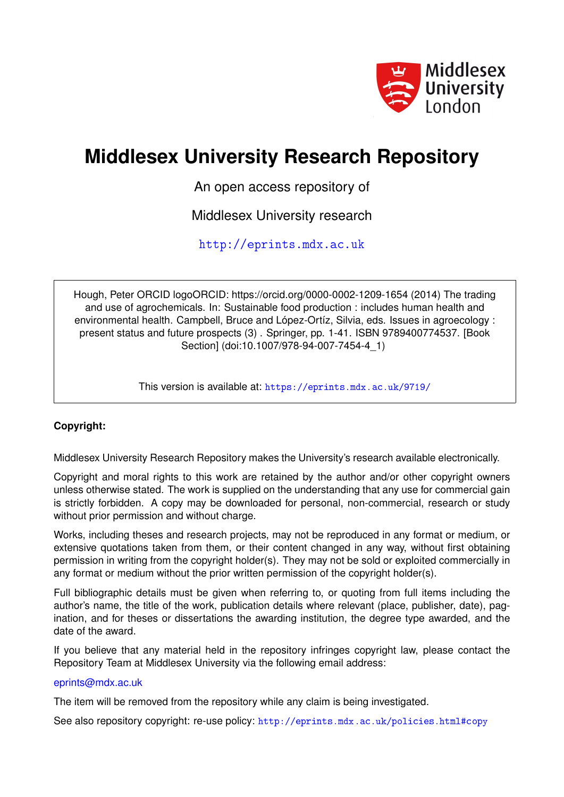

# **Middlesex University Research Repository**

An open access repository of

Middlesex University research

<http://eprints.mdx.ac.uk>

Hough, Peter ORCID logoORCID: https://orcid.org/0000-0002-1209-1654 (2014) The trading and use of agrochemicals. In: Sustainable food production : includes human health and environmental health. Campbell, Bruce and López-Ortíz, Silvia, eds. Issues in agroecology : present status and future prospects (3) . Springer, pp. 1-41. ISBN 9789400774537. [Book Section] (doi:10.1007/978-94-007-7454-4\_1)

This version is available at: <https://eprints.mdx.ac.uk/9719/>

# **Copyright:**

Middlesex University Research Repository makes the University's research available electronically.

Copyright and moral rights to this work are retained by the author and/or other copyright owners unless otherwise stated. The work is supplied on the understanding that any use for commercial gain is strictly forbidden. A copy may be downloaded for personal, non-commercial, research or study without prior permission and without charge.

Works, including theses and research projects, may not be reproduced in any format or medium, or extensive quotations taken from them, or their content changed in any way, without first obtaining permission in writing from the copyright holder(s). They may not be sold or exploited commercially in any format or medium without the prior written permission of the copyright holder(s).

Full bibliographic details must be given when referring to, or quoting from full items including the author's name, the title of the work, publication details where relevant (place, publisher, date), pagination, and for theses or dissertations the awarding institution, the degree type awarded, and the date of the award.

If you believe that any material held in the repository infringes copyright law, please contact the Repository Team at Middlesex University via the following email address:

# [eprints@mdx.ac.uk](mailto:eprints@mdx.ac.uk)

The item will be removed from the repository while any claim is being investigated.

See also repository copyright: re-use policy: <http://eprints.mdx.ac.uk/policies.html#copy>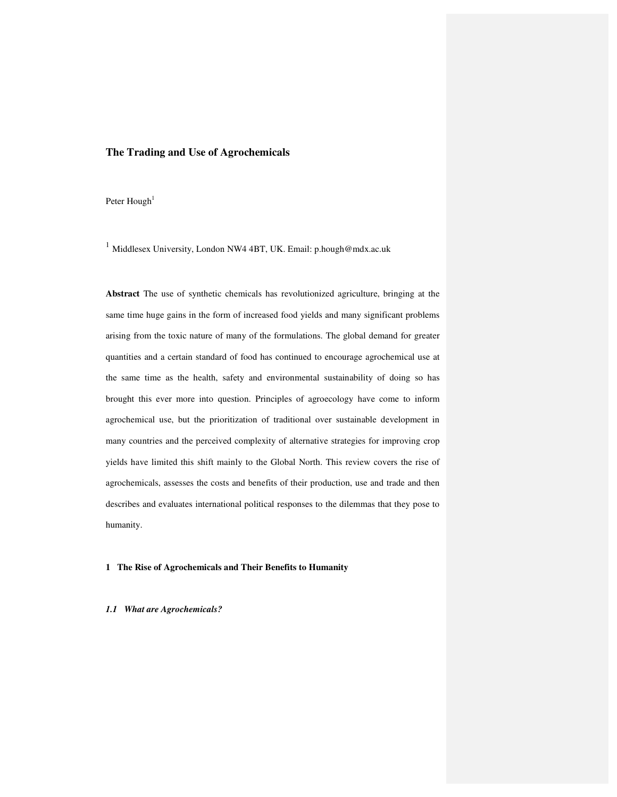# **The Trading and Use of Agrochemicals**

Peter  $Hough<sup>1</sup>$ 

<sup>1</sup> Middlesex University, London NW4 4BT, UK. Email: p.hough@mdx.ac.uk

**Abstract** The use of synthetic chemicals has revolutionized agriculture, bringing at the same time huge gains in the form of increased food yields and many significant problems arising from the toxic nature of many of the formulations. The global demand for greater quantities and a certain standard of food has continued to encourage agrochemical use at the same time as the health, safety and environmental sustainability of doing so has brought this ever more into question. Principles of agroecology have come to inform agrochemical use, but the prioritization of traditional over sustainable development in many countries and the perceived complexity of alternative strategies for improving crop yields have limited this shift mainly to the Global North. This review covers the rise of agrochemicals, assesses the costs and benefits of their production, use and trade and then describes and evaluates international political responses to the dilemmas that they pose to humanity.

#### **1 The Rise of Agrochemicals and Their Benefits to Humanity**

*1.1 What are Agrochemicals?*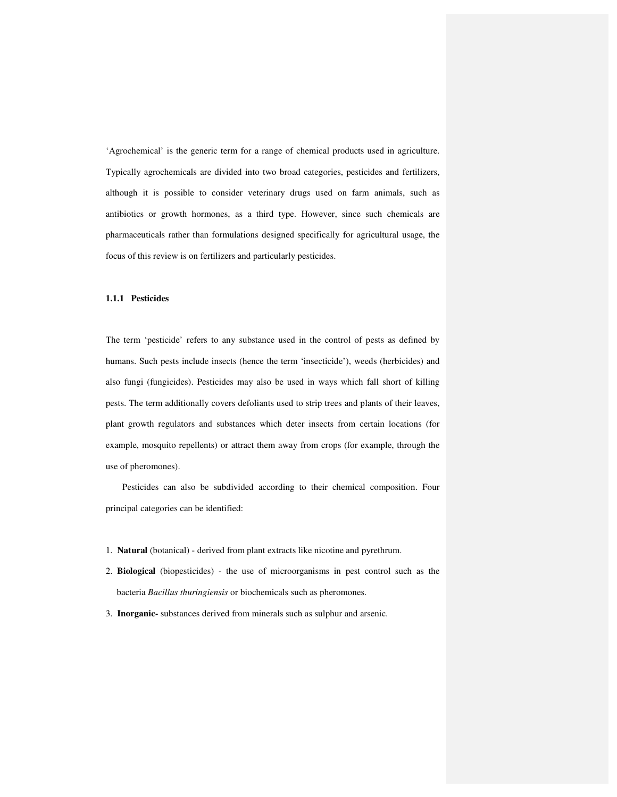'Agrochemical' is the generic term for a range of chemical products used in agriculture. Typically agrochemicals are divided into two broad categories, pesticides and fertilizers, although it is possible to consider veterinary drugs used on farm animals, such as antibiotics or growth hormones, as a third type. However, since such chemicals are pharmaceuticals rather than formulations designed specifically for agricultural usage, the focus of this review is on fertilizers and particularly pesticides.

# **1.1.1 Pesticides**

The term 'pesticide' refers to any substance used in the control of pests as defined by humans. Such pests include insects (hence the term 'insecticide'), weeds (herbicides) and also fungi (fungicides). Pesticides may also be used in ways which fall short of killing pests. The term additionally covers defoliants used to strip trees and plants of their leaves, plant growth regulators and substances which deter insects from certain locations (for example, mosquito repellents) or attract them away from crops (for example, through the use of pheromones).

Pesticides can also be subdivided according to their chemical composition. Four principal categories can be identified:

- 1. **Natural** (botanical) derived from plant extracts like nicotine and pyrethrum.
- 2. **Biological** (biopesticides) the use of microorganisms in pest control such as the bacteria *Bacillus thuringiensis* or biochemicals such as pheromones.
- 3. **Inorganic-** substances derived from minerals such as sulphur and arsenic.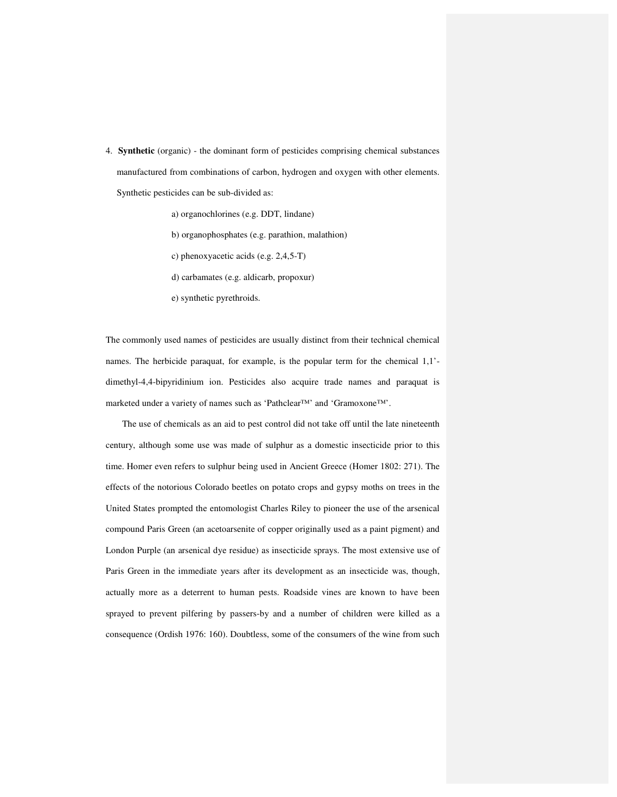4. **Synthetic** (organic) - the dominant form of pesticides comprising chemical substances manufactured from combinations of carbon, hydrogen and oxygen with other elements. Synthetic pesticides can be sub-divided as:

a) organochlorines (e.g. DDT, lindane)

b) organophosphates (e.g. parathion, malathion)

c) phenoxyacetic acids (e.g. 2,4,5-T)

d) carbamates (e.g. aldicarb, propoxur)

e) synthetic pyrethroids.

The commonly used names of pesticides are usually distinct from their technical chemical names. The herbicide paraquat, for example, is the popular term for the chemical 1,1' dimethyl-4,4-bipyridinium ion. Pesticides also acquire trade names and paraquat is marketed under a variety of names such as 'Pathclear™' and 'Gramoxone™'.

The use of chemicals as an aid to pest control did not take off until the late nineteenth century, although some use was made of sulphur as a domestic insecticide prior to this time. Homer even refers to sulphur being used in Ancient Greece (Homer 1802: 271). The effects of the notorious Colorado beetles on potato crops and gypsy moths on trees in the United States prompted the entomologist Charles Riley to pioneer the use of the arsenical compound Paris Green (an acetoarsenite of copper originally used as a paint pigment) and London Purple (an arsenical dye residue) as insecticide sprays. The most extensive use of Paris Green in the immediate years after its development as an insecticide was, though, actually more as a deterrent to human pests. Roadside vines are known to have been sprayed to prevent pilfering by passers-by and a number of children were killed as a consequence (Ordish 1976: 160). Doubtless, some of the consumers of the wine from such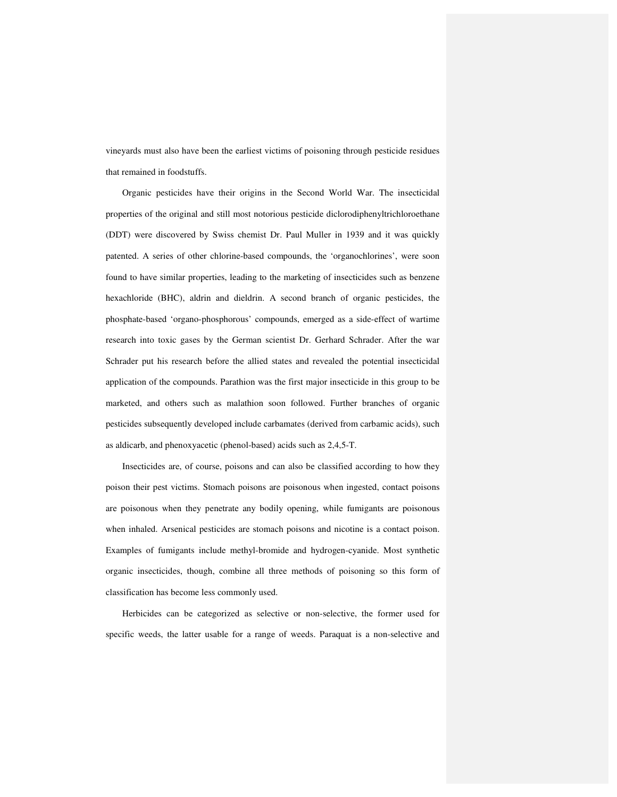vineyards must also have been the earliest victims of poisoning through pesticide residues that remained in foodstuffs.

Organic pesticides have their origins in the Second World War. The insecticidal properties of the original and still most notorious pesticide diclorodiphenyltrichloroethane (DDT) were discovered by Swiss chemist Dr. Paul Muller in 1939 and it was quickly patented. A series of other chlorine-based compounds, the 'organochlorines', were soon found to have similar properties, leading to the marketing of insecticides such as benzene hexachloride (BHC), aldrin and dieldrin. A second branch of organic pesticides, the phosphate-based 'organo-phosphorous' compounds, emerged as a side-effect of wartime research into toxic gases by the German scientist Dr. Gerhard Schrader. After the war Schrader put his research before the allied states and revealed the potential insecticidal application of the compounds. Parathion was the first major insecticide in this group to be marketed, and others such as malathion soon followed. Further branches of organic pesticides subsequently developed include carbamates (derived from carbamic acids), such as aldicarb, and phenoxyacetic (phenol-based) acids such as 2,4,5-T.

Insecticides are, of course, poisons and can also be classified according to how they poison their pest victims. Stomach poisons are poisonous when ingested, contact poisons are poisonous when they penetrate any bodily opening, while fumigants are poisonous when inhaled. Arsenical pesticides are stomach poisons and nicotine is a contact poison. Examples of fumigants include methyl-bromide and hydrogen-cyanide. Most synthetic organic insecticides, though, combine all three methods of poisoning so this form of classification has become less commonly used.

Herbicides can be categorized as selective or non-selective, the former used for specific weeds, the latter usable for a range of weeds. Paraquat is a non-selective and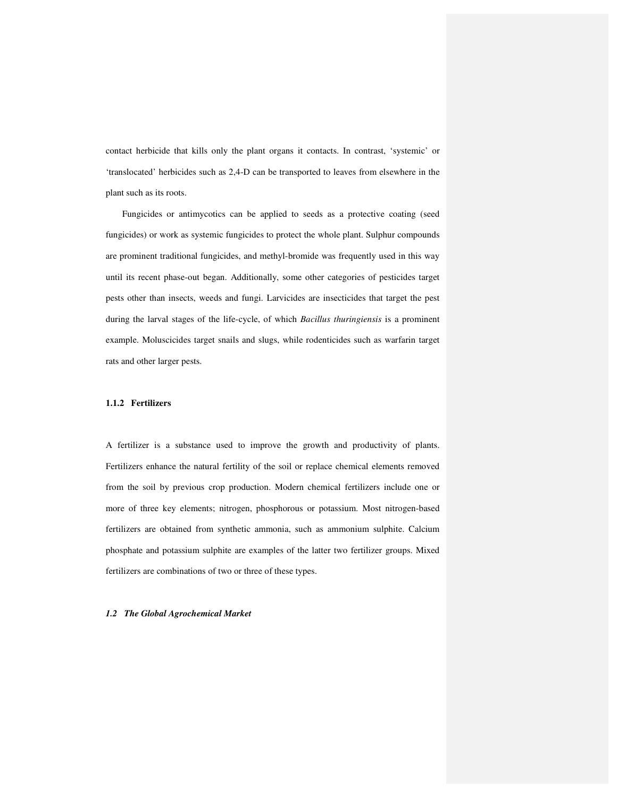contact herbicide that kills only the plant organs it contacts. In contrast, 'systemic' or 'translocated' herbicides such as 2,4-D can be transported to leaves from elsewhere in the plant such as its roots.

Fungicides or antimycotics can be applied to seeds as a protective coating (seed fungicides) or work as systemic fungicides to protect the whole plant. Sulphur compounds are prominent traditional fungicides, and methyl-bromide was frequently used in this way until its recent phase-out began. Additionally, some other categories of pesticides target pests other than insects, weeds and fungi. Larvicides are insecticides that target the pest during the larval stages of the life-cycle, of which *Bacillus thuringiensis* is a prominent example. Moluscicides target snails and slugs, while rodenticides such as warfarin target rats and other larger pests.

#### **1.1.2 Fertilizers**

A fertilizer is a substance used to improve the growth and productivity of plants. Fertilizers enhance the natural fertility of the soil or replace chemical elements removed from the soil by previous crop production. Modern chemical fertilizers include one or more of three key elements; nitrogen, phosphorous or potassium. Most nitrogen-based fertilizers are obtained from synthetic ammonia, such as ammonium sulphite. Calcium phosphate and potassium sulphite are examples of the latter two fertilizer groups. Mixed fertilizers are combinations of two or three of these types.

# *1.2 The Global Agrochemical Market*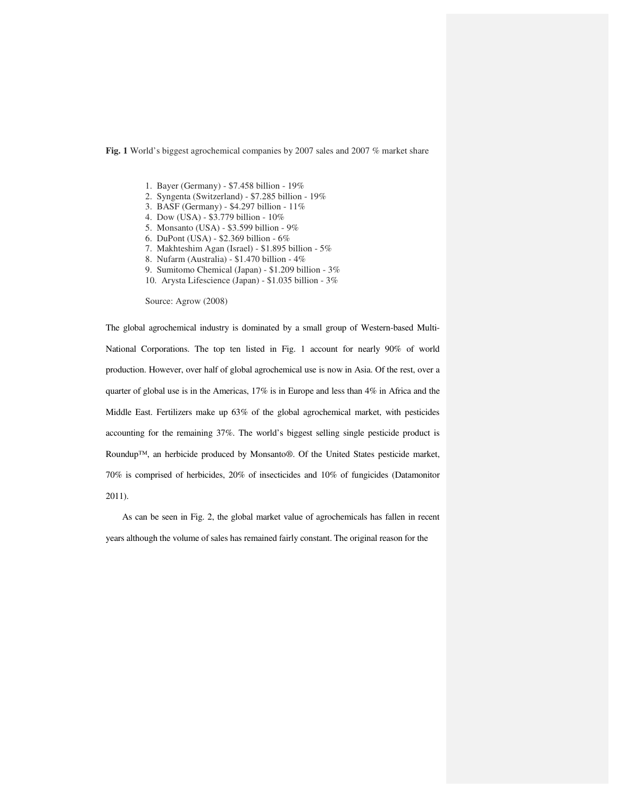**Fig. 1** World's biggest agrochemical companies by 2007 sales and 2007 % market share

- 1. Bayer (Germany) \$7.458 billion 19%
- 2. Syngenta (Switzerland) \$7.285 billion 19%
- 3. BASF (Germany) \$4.297 billion 11%
- 4. Dow (USA) \$3.779 billion 10%
- 5. Monsanto (USA) \$3.599 billion 9%
- 6. DuPont (USA) \$2.369 billion 6%
- 7. Makhteshim Agan (Israel) \$1.895 billion 5%
- 8. Nufarm (Australia) \$1.470 billion 4%
- 9. Sumitomo Chemical (Japan) \$1.209 billion 3%
- 10. Arysta Lifescience (Japan) \$1.035 billion 3%

Source: Agrow (2008)

The global agrochemical industry is dominated by a small group of Western-based Multi-National Corporations. The top ten listed in Fig. 1 account for nearly 90% of world production. However, over half of global agrochemical use is now in Asia. Of the rest, over a quarter of global use is in the Americas, 17% is in Europe and less than 4% in Africa and the Middle East. Fertilizers make up 63% of the global agrochemical market, with pesticides accounting for the remaining 37%. The world's biggest selling single pesticide product is Roundup™, an herbicide produced by Monsanto®. Of the United States pesticide market, 70% is comprised of herbicides, 20% of insecticides and 10% of fungicides (Datamonitor 2011).

As can be seen in Fig. 2, the global market value of agrochemicals has fallen in recent years although the volume of sales has remained fairly constant. The original reason for the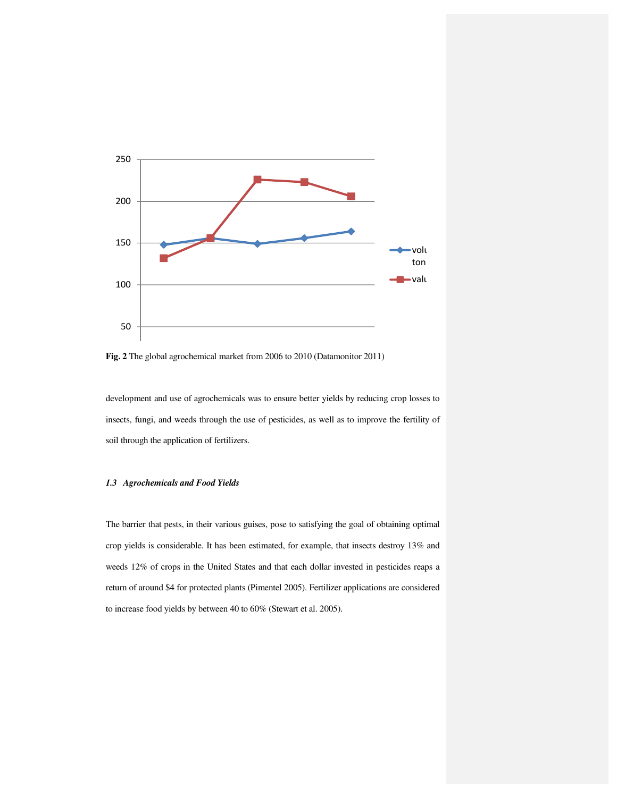

**Fig. 2** The global agrochemical market from 2006 to 2010 (Datamonitor 2011)

development and use of agrochemicals was to ensure better yields by reducing crop losses to insects, fungi, and weeds through the use of pesticides, as well as to improve the fertility of soil through the application of fertilizers.

# *1.3 Agrochemicals and Food Yields*

The barrier that pests, in their various guises, pose to satisfying the goal of obtaining optimal crop yields is considerable. It has been estimated, for example, that insects destroy 13% and weeds 12% of crops in the United States and that each dollar invested in pesticides reaps a return of around \$4 for protected plants (Pimentel 2005). Fertilizer applications are considered to increase food yields by between 40 to 60% (Stewart et al. 2005).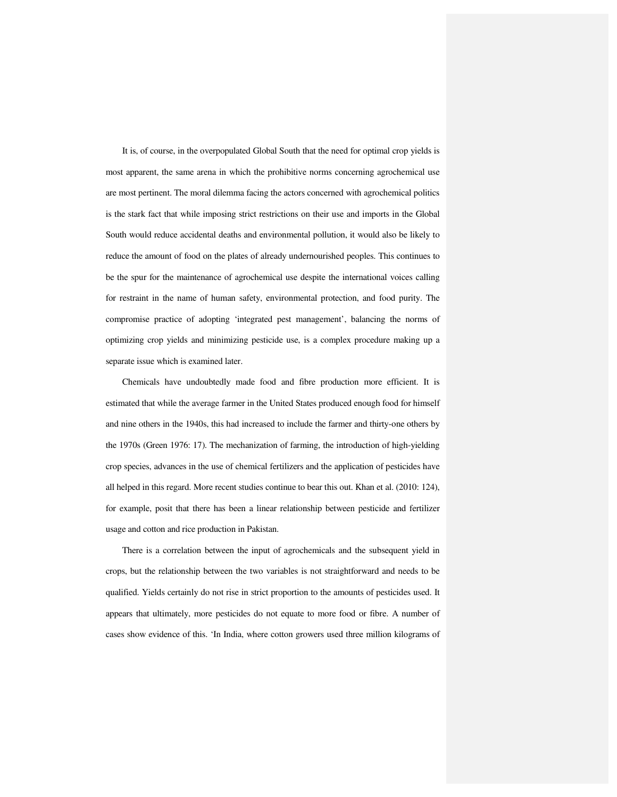It is, of course, in the overpopulated Global South that the need for optimal crop yields is most apparent, the same arena in which the prohibitive norms concerning agrochemical use are most pertinent. The moral dilemma facing the actors concerned with agrochemical politics is the stark fact that while imposing strict restrictions on their use and imports in the Global South would reduce accidental deaths and environmental pollution, it would also be likely to reduce the amount of food on the plates of already undernourished peoples. This continues to be the spur for the maintenance of agrochemical use despite the international voices calling for restraint in the name of human safety, environmental protection, and food purity. The compromise practice of adopting 'integrated pest management', balancing the norms of optimizing crop yields and minimizing pesticide use, is a complex procedure making up a separate issue which is examined later.

Chemicals have undoubtedly made food and fibre production more efficient. It is estimated that while the average farmer in the United States produced enough food for himself and nine others in the 1940s, this had increased to include the farmer and thirty-one others by the 1970s (Green 1976: 17). The mechanization of farming, the introduction of high-yielding crop species, advances in the use of chemical fertilizers and the application of pesticides have all helped in this regard. More recent studies continue to bear this out. Khan et al. (2010: 124), for example, posit that there has been a linear relationship between pesticide and fertilizer usage and cotton and rice production in Pakistan.

There is a correlation between the input of agrochemicals and the subsequent yield in crops, but the relationship between the two variables is not straightforward and needs to be qualified. Yields certainly do not rise in strict proportion to the amounts of pesticides used. It appears that ultimately, more pesticides do not equate to more food or fibre. A number of cases show evidence of this. 'In India, where cotton growers used three million kilograms of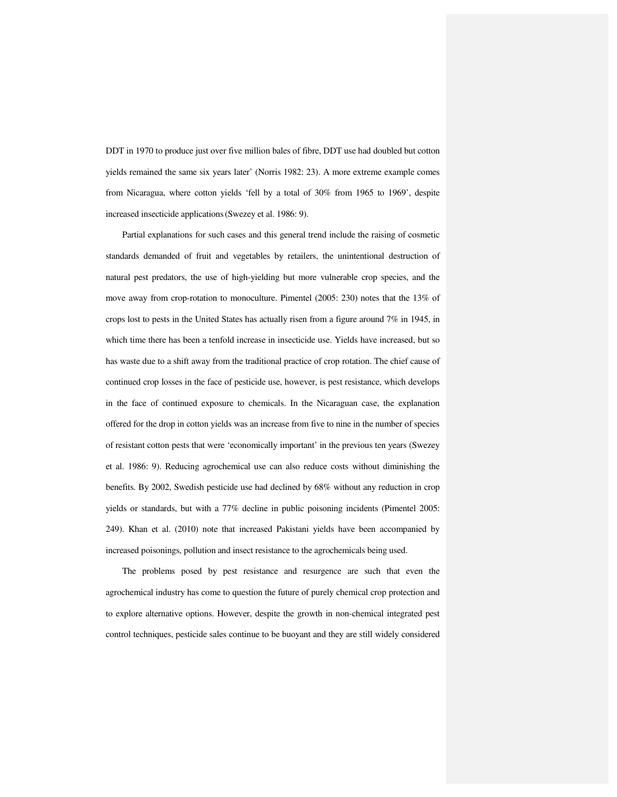DDT in 1970 to produce just over five million bales of fibre, DDT use had doubled but cotton yields remained the same six years later' (Norris 1982: 23). A more extreme example comes from Nicaragua, where cotton yields 'fell by a total of 30% from 1965 to 1969', despite increased insecticide applications(Swezey et al. 1986: 9).

Partial explanations for such cases and this general trend include the raising of cosmetic standards demanded of fruit and vegetables by retailers, the unintentional destruction of natural pest predators, the use of high-yielding but more vulnerable crop species, and the move away from crop-rotation to monoculture. Pimentel (2005: 230) notes that the 13% of crops lost to pests in the United States has actually risen from a figure around 7% in 1945, in which time there has been a tenfold increase in insecticide use. Yields have increased, but so has waste due to a shift away from the traditional practice of crop rotation. The chief cause of continued crop losses in the face of pesticide use, however, is pest resistance, which develops in the face of continued exposure to chemicals. In the Nicaraguan case, the explanation offered for the drop in cotton yields was an increase from five to nine in the number of species of resistant cotton pests that were 'economically important' in the previous ten years (Swezey et al. 1986: 9). Reducing agrochemical use can also reduce costs without diminishing the benefits. By 2002, Swedish pesticide use had declined by 68% without any reduction in crop yields or standards, but with a 77% decline in public poisoning incidents (Pimentel 2005: 249). Khan et al. (2010) note that increased Pakistani yields have been accompanied by increased poisonings, pollution and insect resistance to the agrochemicals being used.

The problems posed by pest resistance and resurgence are such that even the agrochemical industry has come to question the future of purely chemical crop protection and to explore alternative options. However, despite the growth in non-chemical integrated pest control techniques, pesticide sales continue to be buoyant and they are still widely considered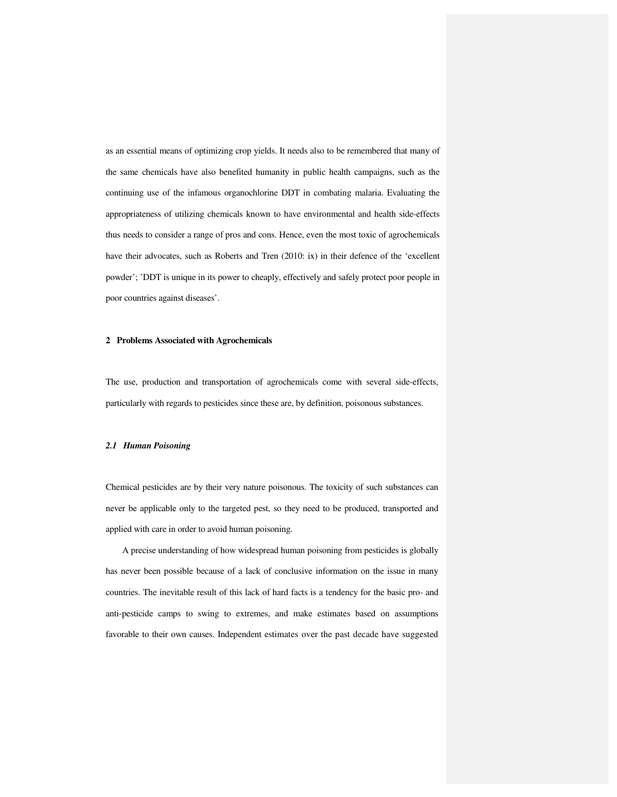as an essential means of optimizing crop yields. It needs also to be remembered that many of the same chemicals have also benefited humanity in public health campaigns, such as the continuing use of the infamous organochlorine DDT in combating malaria. Evaluating the appropriateness of utilizing chemicals known to have environmental and health side-effects thus needs to consider a range of pros and cons. Hence, even the most toxic of agrochemicals have their advocates, such as Roberts and Tren (2010: ix) in their defence of the 'excellent powder'; 'DDT is unique in its power to cheaply, effectively and safely protect poor people in poor countries against diseases'.

# **2 Problems Associated with Agrochemicals**

The use, production and transportation of agrochemicals come with several side-effects, particularly with regards to pesticides since these are, by definition, poisonous substances.

#### *2.1 Human Poisoning*

Chemical pesticides are by their very nature poisonous. The toxicity of such substances can never be applicable only to the targeted pest, so they need to be produced, transported and applied with care in order to avoid human poisoning.

A precise understanding of how widespread human poisoning from pesticides is globally has never been possible because of a lack of conclusive information on the issue in many countries. The inevitable result of this lack of hard facts is a tendency for the basic pro- and anti-pesticide camps to swing to extremes, and make estimates based on assumptions favorable to their own causes. Independent estimates over the past decade have suggested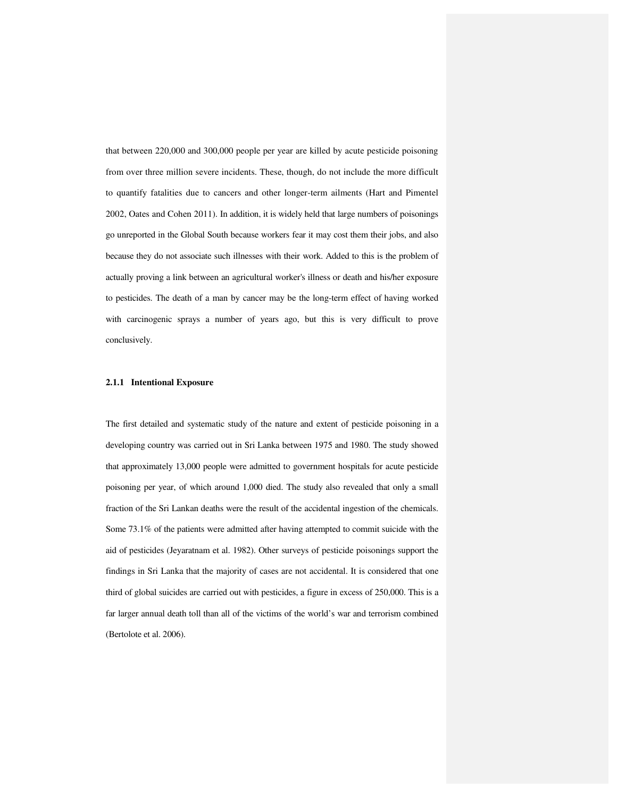that between 220,000 and 300,000 people per year are killed by acute pesticide poisoning from over three million severe incidents. These, though, do not include the more difficult to quantify fatalities due to cancers and other longer-term ailments (Hart and Pimentel 2002, Oates and Cohen 2011). In addition, it is widely held that large numbers of poisonings go unreported in the Global South because workers fear it may cost them their jobs, and also because they do not associate such illnesses with their work. Added to this is the problem of actually proving a link between an agricultural worker's illness or death and his/her exposure to pesticides. The death of a man by cancer may be the long-term effect of having worked with carcinogenic sprays a number of years ago, but this is very difficult to prove conclusively.

# **2.1.1 Intentional Exposure**

The first detailed and systematic study of the nature and extent of pesticide poisoning in a developing country was carried out in Sri Lanka between 1975 and 1980. The study showed that approximately 13,000 people were admitted to government hospitals for acute pesticide poisoning per year, of which around 1,000 died. The study also revealed that only a small fraction of the Sri Lankan deaths were the result of the accidental ingestion of the chemicals. Some 73.1% of the patients were admitted after having attempted to commit suicide with the aid of pesticides (Jeyaratnam et al. 1982). Other surveys of pesticide poisonings support the findings in Sri Lanka that the majority of cases are not accidental. It is considered that one third of global suicides are carried out with pesticides, a figure in excess of 250,000. This is a far larger annual death toll than all of the victims of the world's war and terrorism combined (Bertolote et al. 2006).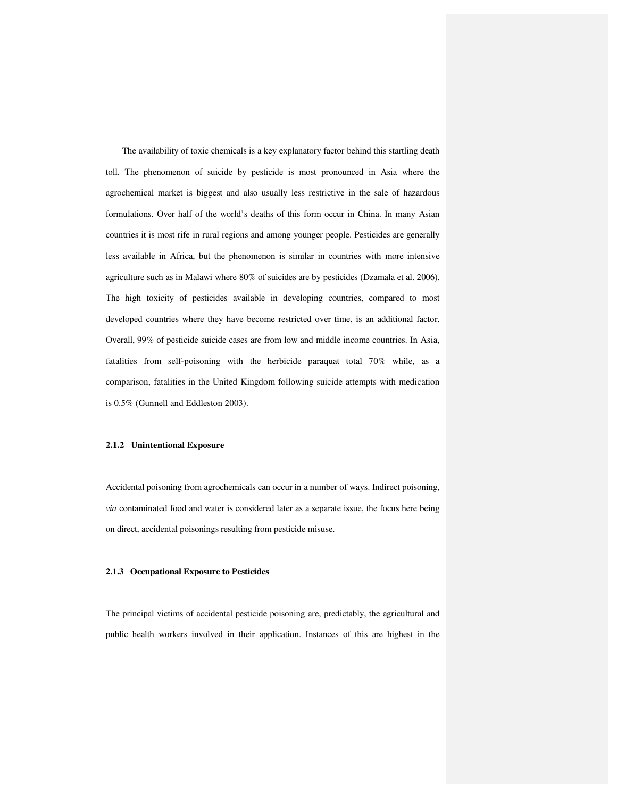The availability of toxic chemicals is a key explanatory factor behind this startling death toll. The phenomenon of suicide by pesticide is most pronounced in Asia where the agrochemical market is biggest and also usually less restrictive in the sale of hazardous formulations. Over half of the world's deaths of this form occur in China. In many Asian countries it is most rife in rural regions and among younger people. Pesticides are generally less available in Africa, but the phenomenon is similar in countries with more intensive agriculture such as in Malawi where 80% of suicides are by pesticides (Dzamala et al. 2006). The high toxicity of pesticides available in developing countries, compared to most developed countries where they have become restricted over time, is an additional factor. Overall, 99% of pesticide suicide cases are from low and middle income countries. In Asia, fatalities from self-poisoning with the herbicide paraquat total 70% while, as a comparison, fatalities in the United Kingdom following suicide attempts with medication is 0.5% (Gunnell and Eddleston 2003).

#### **2.1.2 Unintentional Exposure**

Accidental poisoning from agrochemicals can occur in a number of ways. Indirect poisoning, *via* contaminated food and water is considered later as a separate issue, the focus here being on direct, accidental poisonings resulting from pesticide misuse.

# **2.1.3 Occupational Exposure to Pesticides**

The principal victims of accidental pesticide poisoning are, predictably, the agricultural and public health workers involved in their application. Instances of this are highest in the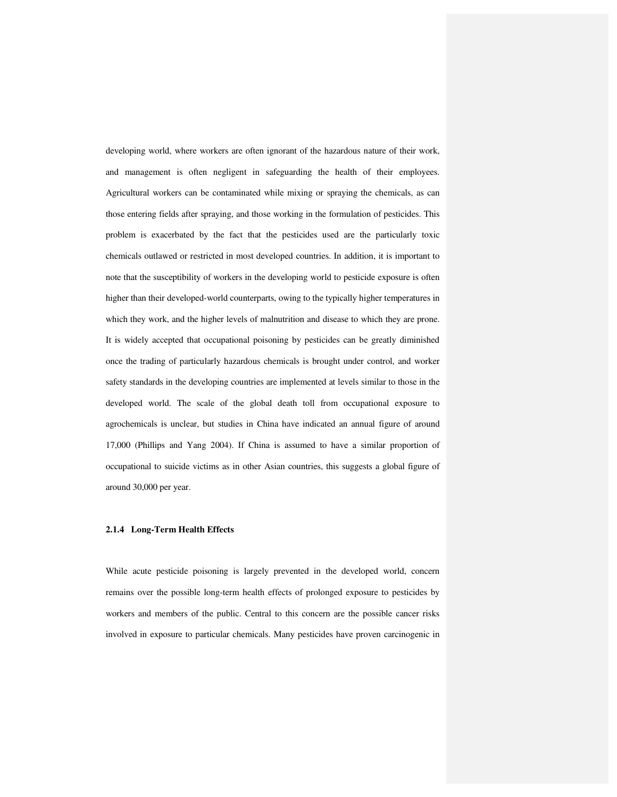developing world, where workers are often ignorant of the hazardous nature of their work, and management is often negligent in safeguarding the health of their employees. Agricultural workers can be contaminated while mixing or spraying the chemicals, as can those entering fields after spraying, and those working in the formulation of pesticides. This problem is exacerbated by the fact that the pesticides used are the particularly toxic chemicals outlawed or restricted in most developed countries. In addition, it is important to note that the susceptibility of workers in the developing world to pesticide exposure is often higher than their developed-world counterparts, owing to the typically higher temperatures in which they work, and the higher levels of malnutrition and disease to which they are prone. It is widely accepted that occupational poisoning by pesticides can be greatly diminished once the trading of particularly hazardous chemicals is brought under control, and worker safety standards in the developing countries are implemented at levels similar to those in the developed world. The scale of the global death toll from occupational exposure to agrochemicals is unclear, but studies in China have indicated an annual figure of around 17,000 (Phillips and Yang 2004). If China is assumed to have a similar proportion of occupational to suicide victims as in other Asian countries, this suggests a global figure of around 30,000 per year.

# **2.1.4 Long-Term Health Effects**

While acute pesticide poisoning is largely prevented in the developed world, concern remains over the possible long-term health effects of prolonged exposure to pesticides by workers and members of the public. Central to this concern are the possible cancer risks involved in exposure to particular chemicals. Many pesticides have proven carcinogenic in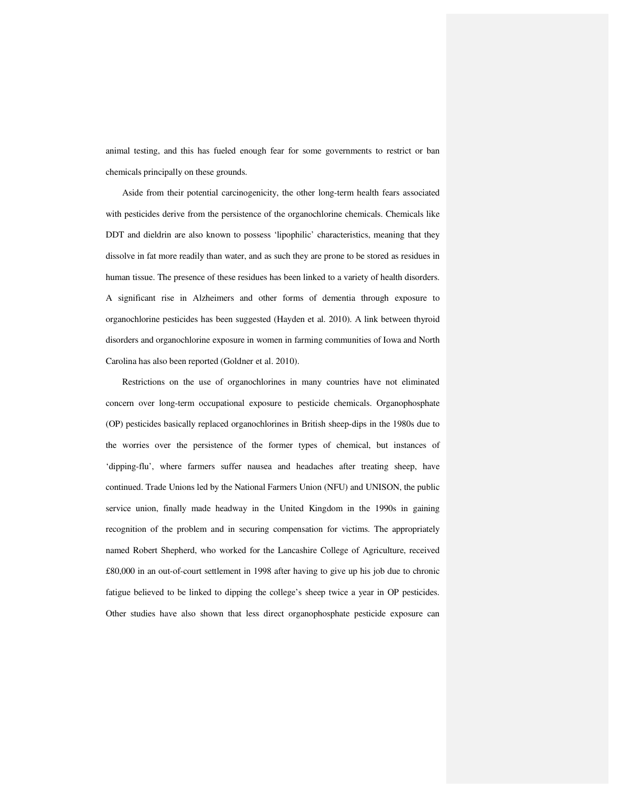animal testing, and this has fueled enough fear for some governments to restrict or ban chemicals principally on these grounds.

Aside from their potential carcinogenicity, the other long-term health fears associated with pesticides derive from the persistence of the organochlorine chemicals. Chemicals like DDT and dieldrin are also known to possess 'lipophilic' characteristics, meaning that they dissolve in fat more readily than water, and as such they are prone to be stored as residues in human tissue. The presence of these residues has been linked to a variety of health disorders. A significant rise in Alzheimers and other forms of dementia through exposure to organochlorine pesticides has been suggested (Hayden et al. 2010). A link between thyroid disorders and organochlorine exposure in women in farming communities of Iowa and North Carolina has also been reported (Goldner et al. 2010).

Restrictions on the use of organochlorines in many countries have not eliminated concern over long-term occupational exposure to pesticide chemicals. Organophosphate (OP) pesticides basically replaced organochlorines in British sheep-dips in the 1980s due to the worries over the persistence of the former types of chemical, but instances of 'dipping-flu', where farmers suffer nausea and headaches after treating sheep, have continued. Trade Unions led by the National Farmers Union (NFU) and UNISON, the public service union, finally made headway in the United Kingdom in the 1990s in gaining recognition of the problem and in securing compensation for victims. The appropriately named Robert Shepherd, who worked for the Lancashire College of Agriculture, received £80,000 in an out-of-court settlement in 1998 after having to give up his job due to chronic fatigue believed to be linked to dipping the college's sheep twice a year in OP pesticides. Other studies have also shown that less direct organophosphate pesticide exposure can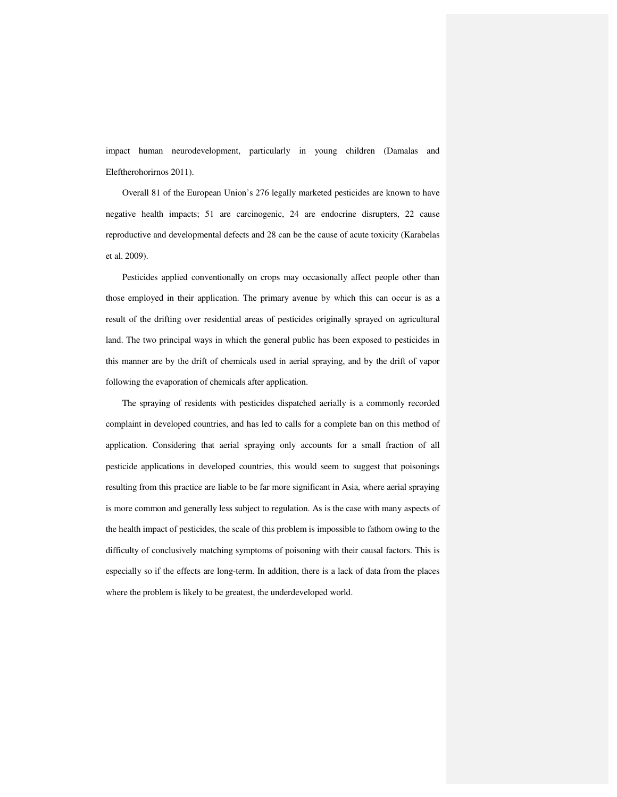impact human neurodevelopment, particularly in young children (Damalas and Eleftherohorirnos 2011).

Overall 81 of the European Union's 276 legally marketed pesticides are known to have negative health impacts; 51 are carcinogenic, 24 are endocrine disrupters, 22 cause reproductive and developmental defects and 28 can be the cause of acute toxicity (Karabelas et al. 2009).

Pesticides applied conventionally on crops may occasionally affect people other than those employed in their application. The primary avenue by which this can occur is as a result of the drifting over residential areas of pesticides originally sprayed on agricultural land. The two principal ways in which the general public has been exposed to pesticides in this manner are by the drift of chemicals used in aerial spraying, and by the drift of vapor following the evaporation of chemicals after application.

The spraying of residents with pesticides dispatched aerially is a commonly recorded complaint in developed countries, and has led to calls for a complete ban on this method of application. Considering that aerial spraying only accounts for a small fraction of all pesticide applications in developed countries, this would seem to suggest that poisonings resulting from this practice are liable to be far more significant in Asia, where aerial spraying is more common and generally less subject to regulation. As is the case with many aspects of the health impact of pesticides, the scale of this problem is impossible to fathom owing to the difficulty of conclusively matching symptoms of poisoning with their causal factors. This is especially so if the effects are long-term. In addition, there is a lack of data from the places where the problem is likely to be greatest, the underdeveloped world.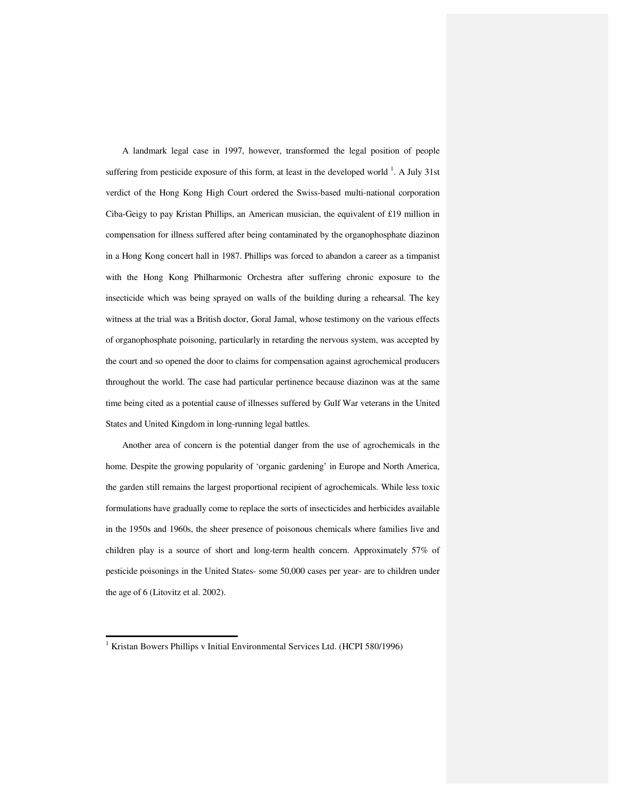A landmark legal case in 1997, however, transformed the legal position of people suffering from pesticide exposure of this form, at least in the developed world  $^{1}$ . A July 31st verdict of the Hong Kong High Court ordered the Swiss-based multi-national corporation Ciba-Geigy to pay Kristan Phillips, an American musician, the equivalent of £19 million in compensation for illness suffered after being contaminated by the organophosphate diazinon in a Hong Kong concert hall in 1987. Phillips was forced to abandon a career as a timpanist with the Hong Kong Philharmonic Orchestra after suffering chronic exposure to the insecticide which was being sprayed on walls of the building during a rehearsal. The key witness at the trial was a British doctor, Goral Jamal, whose testimony on the various effects of organophosphate poisoning, particularly in retarding the nervous system, was accepted by the court and so opened the door to claims for compensation against agrochemical producers throughout the world. The case had particular pertinence because diazinon was at the same time being cited as a potential cause of illnesses suffered by Gulf War veterans in the United States and United Kingdom in long-running legal battles.

Another area of concern is the potential danger from the use of agrochemicals in the home. Despite the growing popularity of 'organic gardening' in Europe and North America, the garden still remains the largest proportional recipient of agrochemicals. While less toxic formulations have gradually come to replace the sorts of insecticides and herbicides available in the 1950s and 1960s, the sheer presence of poisonous chemicals where families live and children play is a source of short and long-term health concern. Approximately 57% of pesticide poisonings in the United States- some 50,000 cases per year- are to children under the age of 6 (Litovitz et al. 2002).

L

<sup>&</sup>lt;sup>1</sup> Kristan Bowers Phillips v Initial Environmental Services Ltd. (HCPI 580/1996)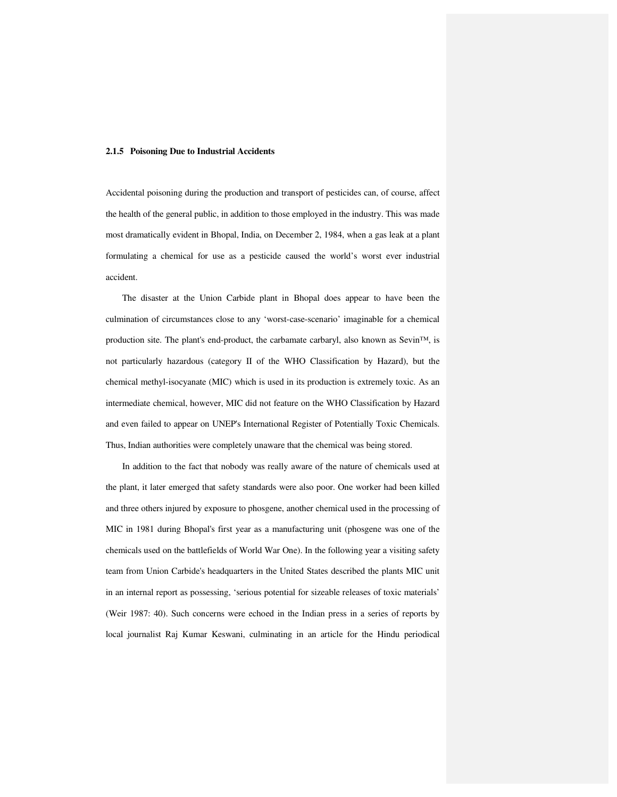#### **2.1.5 Poisoning Due to Industrial Accidents**

Accidental poisoning during the production and transport of pesticides can, of course, affect the health of the general public, in addition to those employed in the industry. This was made most dramatically evident in Bhopal, India, on December 2, 1984, when a gas leak at a plant formulating a chemical for use as a pesticide caused the world's worst ever industrial accident.

The disaster at the Union Carbide plant in Bhopal does appear to have been the culmination of circumstances close to any 'worst-case-scenario' imaginable for a chemical production site. The plant's end-product, the carbamate carbaryl, also known as Sevin™, is not particularly hazardous (category II of the WHO Classification by Hazard), but the chemical methyl-isocyanate (MIC) which is used in its production is extremely toxic. As an intermediate chemical, however, MIC did not feature on the WHO Classification by Hazard and even failed to appear on UNEP's International Register of Potentially Toxic Chemicals. Thus, Indian authorities were completely unaware that the chemical was being stored.

In addition to the fact that nobody was really aware of the nature of chemicals used at the plant, it later emerged that safety standards were also poor. One worker had been killed and three others injured by exposure to phosgene, another chemical used in the processing of MIC in 1981 during Bhopal's first year as a manufacturing unit (phosgene was one of the chemicals used on the battlefields of World War One). In the following year a visiting safety team from Union Carbide's headquarters in the United States described the plants MIC unit in an internal report as possessing, 'serious potential for sizeable releases of toxic materials' (Weir 1987: 40). Such concerns were echoed in the Indian press in a series of reports by local journalist Raj Kumar Keswani, culminating in an article for the Hindu periodical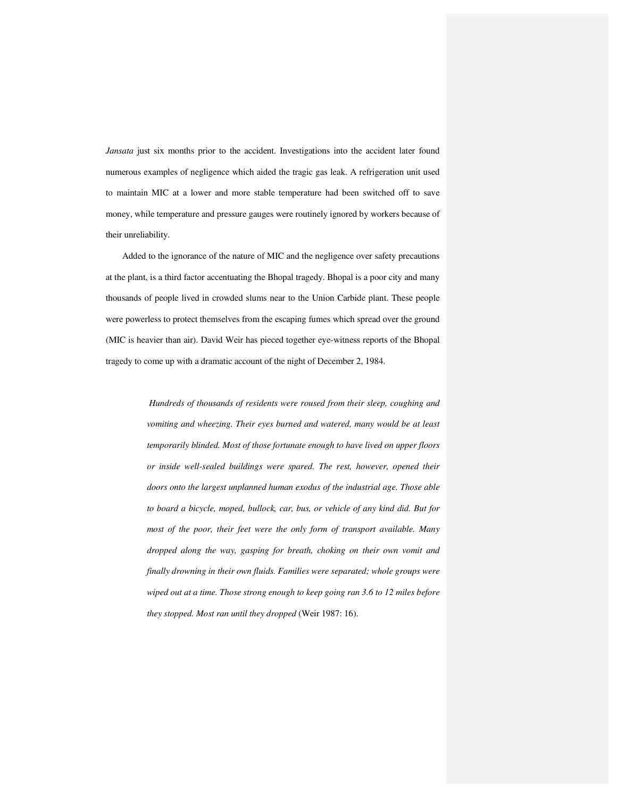*Jansata* just six months prior to the accident. Investigations into the accident later found numerous examples of negligence which aided the tragic gas leak. A refrigeration unit used to maintain MIC at a lower and more stable temperature had been switched off to save money, while temperature and pressure gauges were routinely ignored by workers because of their unreliability.

Added to the ignorance of the nature of MIC and the negligence over safety precautions at the plant, is a third factor accentuating the Bhopal tragedy. Bhopal is a poor city and many thousands of people lived in crowded slums near to the Union Carbide plant. These people were powerless to protect themselves from the escaping fumes which spread over the ground (MIC is heavier than air). David Weir has pieced together eye-witness reports of the Bhopal tragedy to come up with a dramatic account of the night of December 2, 1984.

> *Hundreds of thousands of residents were roused from their sleep, coughing and vomiting and wheezing. Their eyes burned and watered, many would be at least temporarily blinded. Most of those fortunate enough to have lived on upper floors or inside well-sealed buildings were spared. The rest, however, opened their doors onto the largest unplanned human exodus of the industrial age. Those able to board a bicycle, moped, bullock, car, bus, or vehicle of any kind did. But for most of the poor, their feet were the only form of transport available. Many dropped along the way, gasping for breath, choking on their own vomit and finally drowning in their own fluids. Families were separated; whole groups were wiped out at a time. Those strong enough to keep going ran 3.6 to 12 miles before they stopped. Most ran until they dropped* (Weir 1987: 16).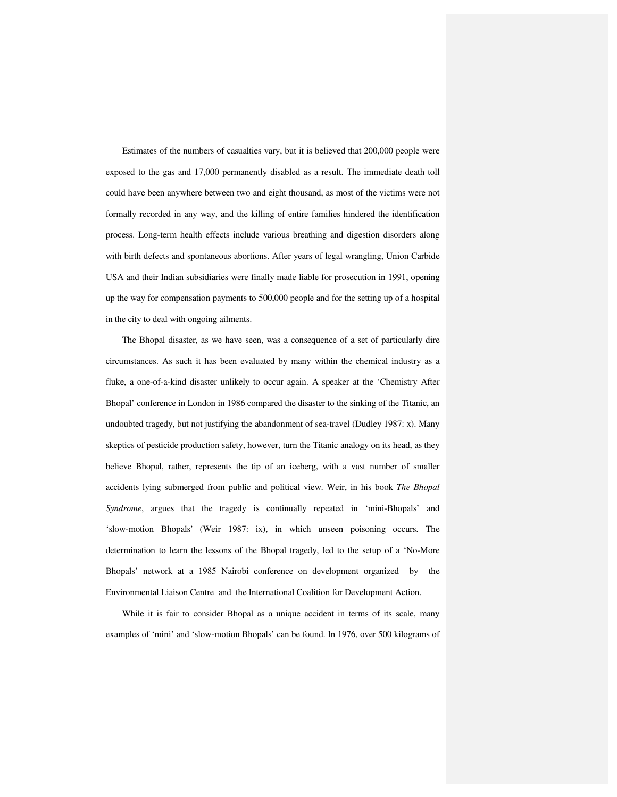Estimates of the numbers of casualties vary, but it is believed that 200,000 people were exposed to the gas and 17,000 permanently disabled as a result. The immediate death toll could have been anywhere between two and eight thousand, as most of the victims were not formally recorded in any way, and the killing of entire families hindered the identification process. Long-term health effects include various breathing and digestion disorders along with birth defects and spontaneous abortions. After years of legal wrangling, Union Carbide USA and their Indian subsidiaries were finally made liable for prosecution in 1991, opening up the way for compensation payments to 500,000 people and for the setting up of a hospital in the city to deal with ongoing ailments.

The Bhopal disaster, as we have seen, was a consequence of a set of particularly dire circumstances. As such it has been evaluated by many within the chemical industry as a fluke, a one-of-a-kind disaster unlikely to occur again. A speaker at the 'Chemistry After Bhopal' conference in London in 1986 compared the disaster to the sinking of the Titanic, an undoubted tragedy, but not justifying the abandonment of sea-travel (Dudley 1987: x). Many skeptics of pesticide production safety, however, turn the Titanic analogy on its head, as they believe Bhopal, rather, represents the tip of an iceberg, with a vast number of smaller accidents lying submerged from public and political view. Weir, in his book *The Bhopal Syndrome*, argues that the tragedy is continually repeated in 'mini-Bhopals' and 'slow-motion Bhopals' (Weir 1987: ix), in which unseen poisoning occurs. The determination to learn the lessons of the Bhopal tragedy, led to the setup of a 'No-More Bhopals' network at a 1985 Nairobi conference on development organized by the Environmental Liaison Centre and the International Coalition for Development Action.

While it is fair to consider Bhopal as a unique accident in terms of its scale, many examples of 'mini' and 'slow-motion Bhopals' can be found. In 1976, over 500 kilograms of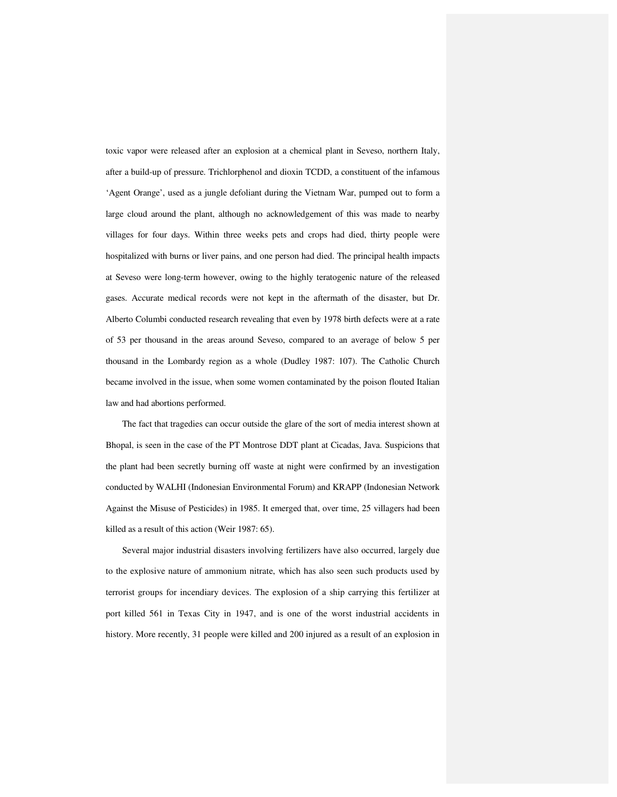toxic vapor were released after an explosion at a chemical plant in Seveso, northern Italy, after a build-up of pressure. Trichlorphenol and dioxin TCDD, a constituent of the infamous 'Agent Orange', used as a jungle defoliant during the Vietnam War, pumped out to form a large cloud around the plant, although no acknowledgement of this was made to nearby villages for four days. Within three weeks pets and crops had died, thirty people were hospitalized with burns or liver pains, and one person had died. The principal health impacts at Seveso were long-term however, owing to the highly teratogenic nature of the released gases. Accurate medical records were not kept in the aftermath of the disaster, but Dr. Alberto Columbi conducted research revealing that even by 1978 birth defects were at a rate of 53 per thousand in the areas around Seveso, compared to an average of below 5 per thousand in the Lombardy region as a whole (Dudley 1987: 107). The Catholic Church became involved in the issue, when some women contaminated by the poison flouted Italian law and had abortions performed.

The fact that tragedies can occur outside the glare of the sort of media interest shown at Bhopal, is seen in the case of the PT Montrose DDT plant at Cicadas, Java. Suspicions that the plant had been secretly burning off waste at night were confirmed by an investigation conducted by WALHI (Indonesian Environmental Forum) and KRAPP (Indonesian Network Against the Misuse of Pesticides) in 1985. It emerged that, over time, 25 villagers had been killed as a result of this action (Weir 1987: 65).

Several major industrial disasters involving fertilizers have also occurred, largely due to the explosive nature of ammonium nitrate, which has also seen such products used by terrorist groups for incendiary devices. The explosion of a ship carrying this fertilizer at port killed 561 in Texas City in 1947, and is one of the worst industrial accidents in history. More recently, 31 people were killed and 200 injured as a result of an explosion in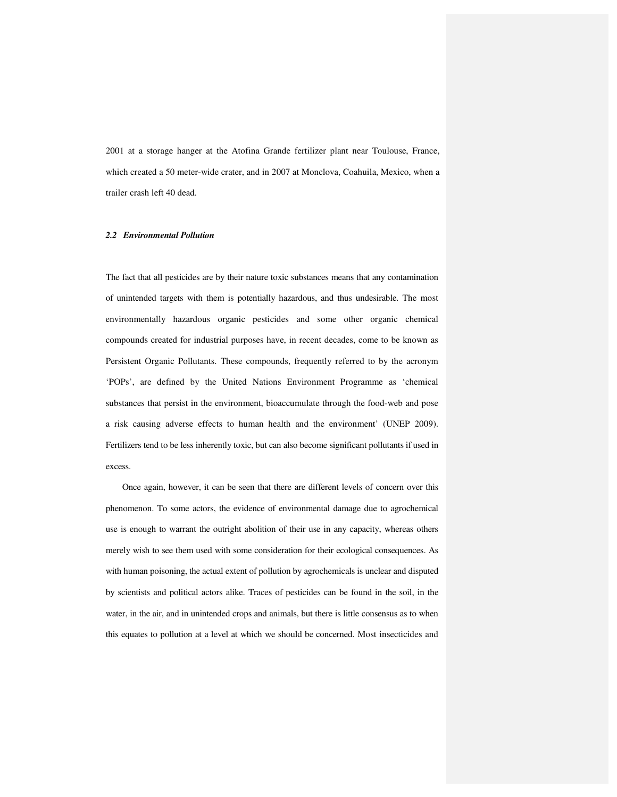2001 at a storage hanger at the Atofina Grande fertilizer plant near Toulouse, France, which created a 50 meter-wide crater, and in 2007 at Monclova, Coahuila, Mexico, when a trailer crash left 40 dead.

#### *2.2 Environmental Pollution*

The fact that all pesticides are by their nature toxic substances means that any contamination of unintended targets with them is potentially hazardous, and thus undesirable. The most environmentally hazardous organic pesticides and some other organic chemical compounds created for industrial purposes have, in recent decades, come to be known as Persistent Organic Pollutants. These compounds, frequently referred to by the acronym 'POPs', are defined by the United Nations Environment Programme as 'chemical substances that persist in the environment, bioaccumulate through the food-web and pose a risk causing adverse effects to human health and the environment' (UNEP 2009). Fertilizers tend to be less inherently toxic, but can also become significant pollutants if used in excess.

Once again, however, it can be seen that there are different levels of concern over this phenomenon. To some actors, the evidence of environmental damage due to agrochemical use is enough to warrant the outright abolition of their use in any capacity, whereas others merely wish to see them used with some consideration for their ecological consequences. As with human poisoning, the actual extent of pollution by agrochemicals is unclear and disputed by scientists and political actors alike. Traces of pesticides can be found in the soil, in the water, in the air, and in unintended crops and animals, but there is little consensus as to when this equates to pollution at a level at which we should be concerned. Most insecticides and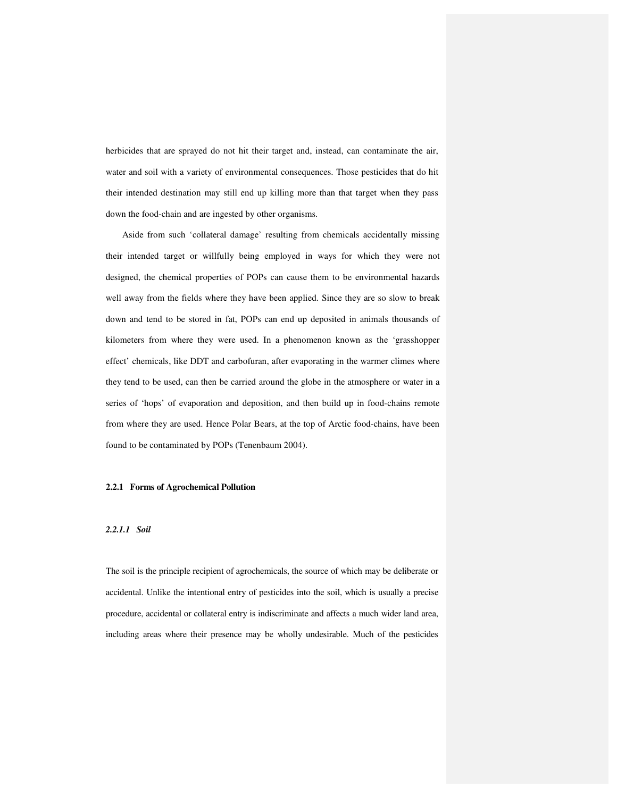herbicides that are sprayed do not hit their target and, instead, can contaminate the air, water and soil with a variety of environmental consequences. Those pesticides that do hit their intended destination may still end up killing more than that target when they pass down the food-chain and are ingested by other organisms.

Aside from such 'collateral damage' resulting from chemicals accidentally missing their intended target or willfully being employed in ways for which they were not designed, the chemical properties of POPs can cause them to be environmental hazards well away from the fields where they have been applied. Since they are so slow to break down and tend to be stored in fat, POPs can end up deposited in animals thousands of kilometers from where they were used. In a phenomenon known as the 'grasshopper effect' chemicals, like DDT and carbofuran, after evaporating in the warmer climes where they tend to be used, can then be carried around the globe in the atmosphere or water in a series of 'hops' of evaporation and deposition, and then build up in food-chains remote from where they are used. Hence Polar Bears, at the top of Arctic food-chains, have been found to be contaminated by POPs (Tenenbaum 2004).

#### **2.2.1 Forms of Agrochemical Pollution**

#### *2.2.1.1 Soil*

The soil is the principle recipient of agrochemicals, the source of which may be deliberate or accidental. Unlike the intentional entry of pesticides into the soil, which is usually a precise procedure, accidental or collateral entry is indiscriminate and affects a much wider land area, including areas where their presence may be wholly undesirable. Much of the pesticides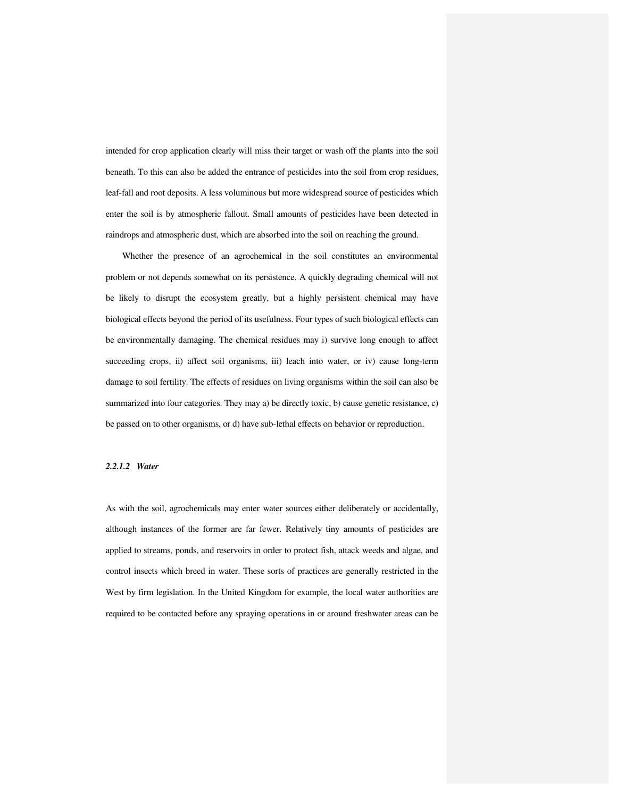intended for crop application clearly will miss their target or wash off the plants into the soil beneath. To this can also be added the entrance of pesticides into the soil from crop residues, leaf-fall and root deposits. A less voluminous but more widespread source of pesticides which enter the soil is by atmospheric fallout. Small amounts of pesticides have been detected in raindrops and atmospheric dust, which are absorbed into the soil on reaching the ground.

Whether the presence of an agrochemical in the soil constitutes an environmental problem or not depends somewhat on its persistence. A quickly degrading chemical will not be likely to disrupt the ecosystem greatly, but a highly persistent chemical may have biological effects beyond the period of its usefulness. Four types of such biological effects can be environmentally damaging. The chemical residues may i) survive long enough to affect succeeding crops, ii) affect soil organisms, iii) leach into water, or iv) cause long-term damage to soil fertility. The effects of residues on living organisms within the soil can also be summarized into four categories. They may a) be directly toxic, b) cause genetic resistance, c) be passed on to other organisms, or d) have sub-lethal effects on behavior or reproduction.

#### *2.2.1.2 Water*

As with the soil, agrochemicals may enter water sources either deliberately or accidentally, although instances of the former are far fewer. Relatively tiny amounts of pesticides are applied to streams, ponds, and reservoirs in order to protect fish, attack weeds and algae, and control insects which breed in water. These sorts of practices are generally restricted in the West by firm legislation. In the United Kingdom for example, the local water authorities are required to be contacted before any spraying operations in or around freshwater areas can be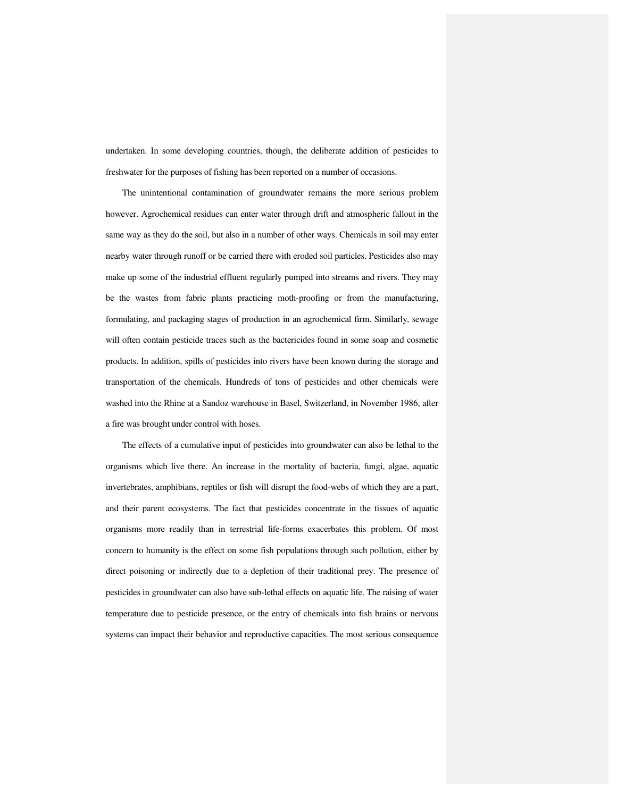undertaken. In some developing countries, though, the deliberate addition of pesticides to freshwater for the purposes of fishing has been reported on a number of occasions.

The unintentional contamination of groundwater remains the more serious problem however. Agrochemical residues can enter water through drift and atmospheric fallout in the same way as they do the soil, but also in a number of other ways. Chemicals in soil may enter nearby water through runoff or be carried there with eroded soil particles. Pesticides also may make up some of the industrial effluent regularly pumped into streams and rivers. They may be the wastes from fabric plants practicing moth-proofing or from the manufacturing, formulating, and packaging stages of production in an agrochemical firm. Similarly, sewage will often contain pesticide traces such as the bactericides found in some soap and cosmetic products. In addition, spills of pesticides into rivers have been known during the storage and transportation of the chemicals. Hundreds of tons of pesticides and other chemicals were washed into the Rhine at a Sandoz warehouse in Basel, Switzerland, in November 1986, after a fire was brought under control with hoses.

The effects of a cumulative input of pesticides into groundwater can also be lethal to the organisms which live there. An increase in the mortality of bacteria, fungi, algae, aquatic invertebrates, amphibians, reptiles or fish will disrupt the food-webs of which they are a part, and their parent ecosystems. The fact that pesticides concentrate in the tissues of aquatic organisms more readily than in terrestrial life-forms exacerbates this problem. Of most concern to humanity is the effect on some fish populations through such pollution, either by direct poisoning or indirectly due to a depletion of their traditional prey. The presence of pesticides in groundwater can also have sub-lethal effects on aquatic life. The raising of water temperature due to pesticide presence, or the entry of chemicals into fish brains or nervous systems can impact their behavior and reproductive capacities. The most serious consequence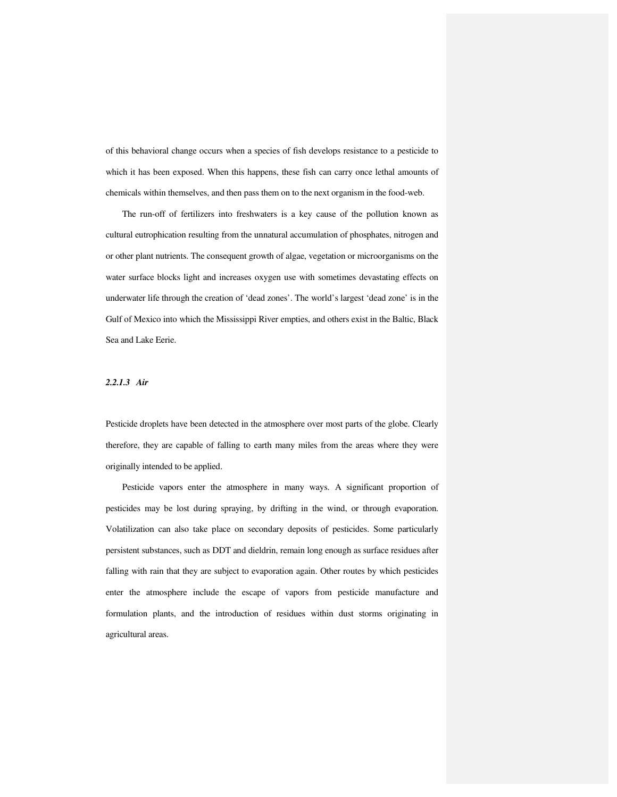of this behavioral change occurs when a species of fish develops resistance to a pesticide to which it has been exposed. When this happens, these fish can carry once lethal amounts of chemicals within themselves, and then pass them on to the next organism in the food-web.

The run-off of fertilizers into freshwaters is a key cause of the pollution known as cultural eutrophication resulting from the unnatural accumulation of phosphates, nitrogen and or other plant nutrients. The consequent growth of algae, vegetation or microorganisms on the water surface blocks light and increases oxygen use with sometimes devastating effects on underwater life through the creation of 'dead zones'. The world's largest 'dead zone' is in the Gulf of Mexico into which the Mississippi River empties, and others exist in the Baltic, Black Sea and Lake Eerie.

# *2.2.1.3 Air*

Pesticide droplets have been detected in the atmosphere over most parts of the globe. Clearly therefore, they are capable of falling to earth many miles from the areas where they were originally intended to be applied.

Pesticide vapors enter the atmosphere in many ways. A significant proportion of pesticides may be lost during spraying, by drifting in the wind, or through evaporation. Volatilization can also take place on secondary deposits of pesticides. Some particularly persistent substances, such as DDT and dieldrin, remain long enough as surface residues after falling with rain that they are subject to evaporation again. Other routes by which pesticides enter the atmosphere include the escape of vapors from pesticide manufacture and formulation plants, and the introduction of residues within dust storms originating in agricultural areas.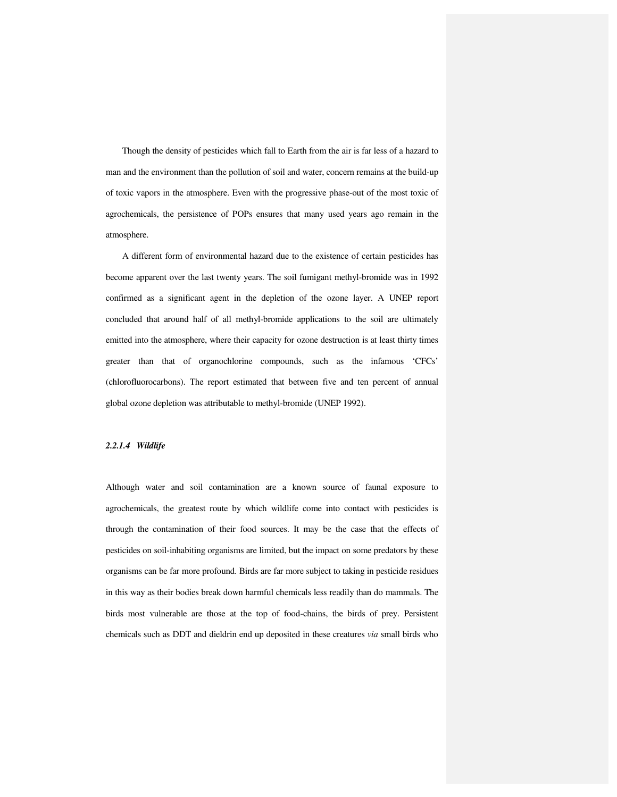Though the density of pesticides which fall to Earth from the air is far less of a hazard to man and the environment than the pollution of soil and water, concern remains at the build-up of toxic vapors in the atmosphere. Even with the progressive phase-out of the most toxic of agrochemicals, the persistence of POPs ensures that many used years ago remain in the atmosphere.

A different form of environmental hazard due to the existence of certain pesticides has become apparent over the last twenty years. The soil fumigant methyl-bromide was in 1992 confirmed as a significant agent in the depletion of the ozone layer. A UNEP report concluded that around half of all methyl-bromide applications to the soil are ultimately emitted into the atmosphere, where their capacity for ozone destruction is at least thirty times greater than that of organochlorine compounds, such as the infamous 'CFCs' (chlorofluorocarbons). The report estimated that between five and ten percent of annual global ozone depletion was attributable to methyl-bromide (UNEP 1992).

#### *2.2.1.4 Wildlife*

Although water and soil contamination are a known source of faunal exposure to agrochemicals, the greatest route by which wildlife come into contact with pesticides is through the contamination of their food sources. It may be the case that the effects of pesticides on soil-inhabiting organisms are limited, but the impact on some predators by these organisms can be far more profound. Birds are far more subject to taking in pesticide residues in this way as their bodies break down harmful chemicals less readily than do mammals. The birds most vulnerable are those at the top of food-chains, the birds of prey. Persistent chemicals such as DDT and dieldrin end up deposited in these creatures *via* small birds who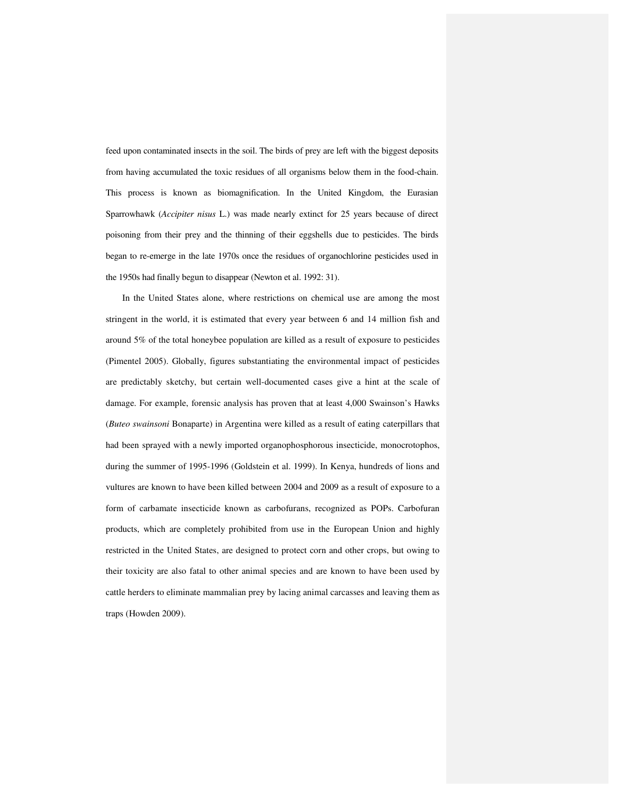feed upon contaminated insects in the soil. The birds of prey are left with the biggest deposits from having accumulated the toxic residues of all organisms below them in the food-chain. This process is known as biomagnification. In the United Kingdom, the Eurasian Sparrowhawk (*Accipiter nisus* L.) was made nearly extinct for 25 years because of direct poisoning from their prey and the thinning of their eggshells due to pesticides. The birds began to re-emerge in the late 1970s once the residues of organochlorine pesticides used in the 1950s had finally begun to disappear (Newton et al. 1992: 31).

In the United States alone, where restrictions on chemical use are among the most stringent in the world, it is estimated that every year between 6 and 14 million fish and around 5% of the total honeybee population are killed as a result of exposure to pesticides (Pimentel 2005). Globally, figures substantiating the environmental impact of pesticides are predictably sketchy, but certain well-documented cases give a hint at the scale of damage. For example, forensic analysis has proven that at least 4,000 Swainson's Hawks (*Buteo swainsoni* Bonaparte) in Argentina were killed as a result of eating caterpillars that had been sprayed with a newly imported organophosphorous insecticide, monocrotophos, during the summer of 1995-1996 (Goldstein et al. 1999). In Kenya, hundreds of lions and vultures are known to have been killed between 2004 and 2009 as a result of exposure to a form of carbamate insecticide known as carbofurans, recognized as POPs. Carbofuran products, which are completely prohibited from use in the European Union and highly restricted in the United States, are designed to protect corn and other crops, but owing to their toxicity are also fatal to other animal species and are known to have been used by cattle herders to eliminate mammalian prey by lacing animal carcasses and leaving them as traps (Howden 2009).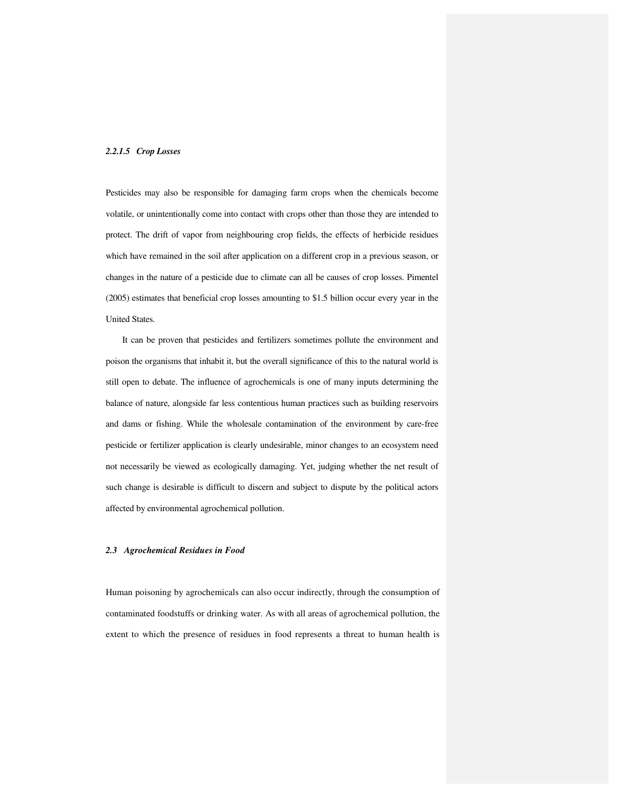# *2.2.1.5 Crop Losses*

Pesticides may also be responsible for damaging farm crops when the chemicals become volatile, or unintentionally come into contact with crops other than those they are intended to protect. The drift of vapor from neighbouring crop fields, the effects of herbicide residues which have remained in the soil after application on a different crop in a previous season, or changes in the nature of a pesticide due to climate can all be causes of crop losses. Pimentel (2005) estimates that beneficial crop losses amounting to \$1.5 billion occur every year in the United States.

It can be proven that pesticides and fertilizers sometimes pollute the environment and poison the organisms that inhabit it, but the overall significance of this to the natural world is still open to debate. The influence of agrochemicals is one of many inputs determining the balance of nature, alongside far less contentious human practices such as building reservoirs and dams or fishing. While the wholesale contamination of the environment by care-free pesticide or fertilizer application is clearly undesirable, minor changes to an ecosystem need not necessarily be viewed as ecologically damaging. Yet, judging whether the net result of such change is desirable is difficult to discern and subject to dispute by the political actors affected by environmental agrochemical pollution.

#### *2.3**Agrochemical Residues in Food*

Human poisoning by agrochemicals can also occur indirectly, through the consumption of contaminated foodstuffs or drinking water. As with all areas of agrochemical pollution, the extent to which the presence of residues in food represents a threat to human health is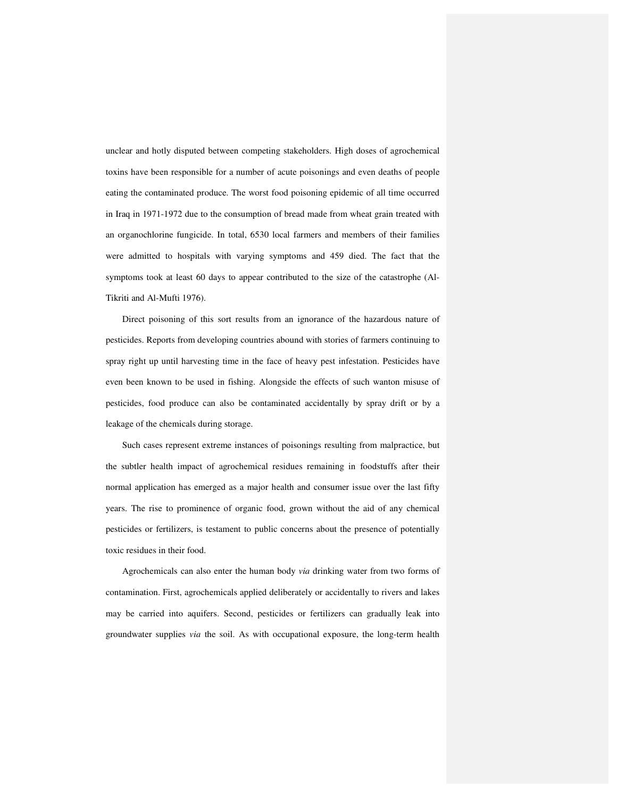unclear and hotly disputed between competing stakeholders. High doses of agrochemical toxins have been responsible for a number of acute poisonings and even deaths of people eating the contaminated produce. The worst food poisoning epidemic of all time occurred in Iraq in 1971-1972 due to the consumption of bread made from wheat grain treated with an organochlorine fungicide. In total, 6530 local farmers and members of their families were admitted to hospitals with varying symptoms and 459 died. The fact that the symptoms took at least 60 days to appear contributed to the size of the catastrophe (Al-Tikriti and Al-Mufti 1976).

Direct poisoning of this sort results from an ignorance of the hazardous nature of pesticides. Reports from developing countries abound with stories of farmers continuing to spray right up until harvesting time in the face of heavy pest infestation. Pesticides have even been known to be used in fishing. Alongside the effects of such wanton misuse of pesticides, food produce can also be contaminated accidentally by spray drift or by a leakage of the chemicals during storage.

Such cases represent extreme instances of poisonings resulting from malpractice, but the subtler health impact of agrochemical residues remaining in foodstuffs after their normal application has emerged as a major health and consumer issue over the last fifty years. The rise to prominence of organic food, grown without the aid of any chemical pesticides or fertilizers, is testament to public concerns about the presence of potentially toxic residues in their food.

Agrochemicals can also enter the human body *via* drinking water from two forms of contamination. First, agrochemicals applied deliberately or accidentally to rivers and lakes may be carried into aquifers. Second, pesticides or fertilizers can gradually leak into groundwater supplies *via* the soil. As with occupational exposure, the long-term health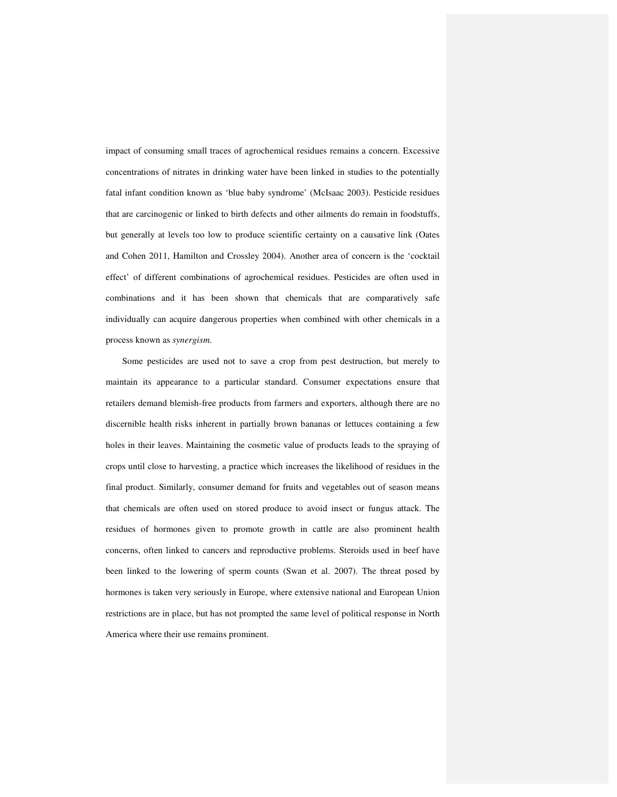impact of consuming small traces of agrochemical residues remains a concern. Excessive concentrations of nitrates in drinking water have been linked in studies to the potentially fatal infant condition known as 'blue baby syndrome' (McIsaac 2003). Pesticide residues that are carcinogenic or linked to birth defects and other ailments do remain in foodstuffs, but generally at levels too low to produce scientific certainty on a causative link (Oates and Cohen 2011, Hamilton and Crossley 2004). Another area of concern is the 'cocktail effect' of different combinations of agrochemical residues. Pesticides are often used in combinations and it has been shown that chemicals that are comparatively safe individually can acquire dangerous properties when combined with other chemicals in a process known as *synergism*.

Some pesticides are used not to save a crop from pest destruction, but merely to maintain its appearance to a particular standard. Consumer expectations ensure that retailers demand blemish-free products from farmers and exporters, although there are no discernible health risks inherent in partially brown bananas or lettuces containing a few holes in their leaves. Maintaining the cosmetic value of products leads to the spraying of crops until close to harvesting, a practice which increases the likelihood of residues in the final product. Similarly, consumer demand for fruits and vegetables out of season means that chemicals are often used on stored produce to avoid insect or fungus attack. The residues of hormones given to promote growth in cattle are also prominent health concerns, often linked to cancers and reproductive problems. Steroids used in beef have been linked to the lowering of sperm counts (Swan et al. 2007). The threat posed by hormones is taken very seriously in Europe, where extensive national and European Union restrictions are in place, but has not prompted the same level of political response in North America where their use remains prominent.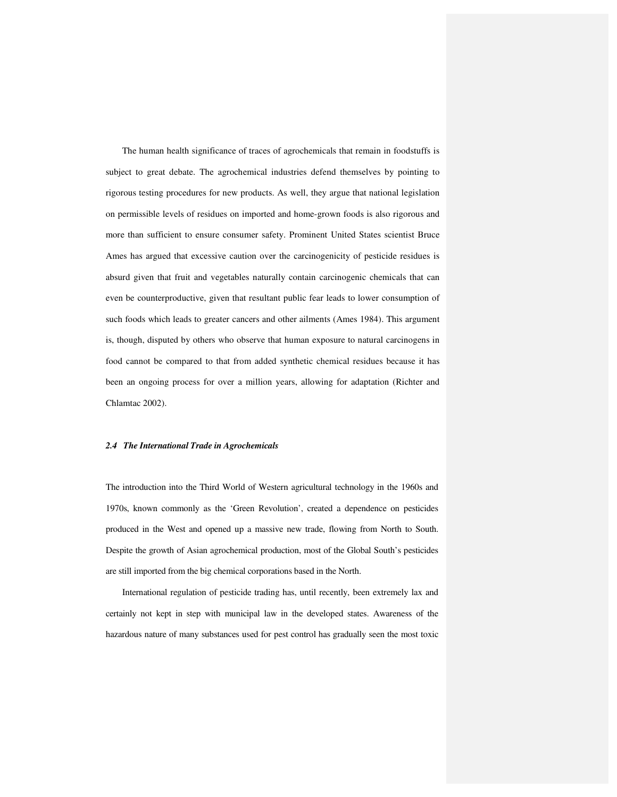The human health significance of traces of agrochemicals that remain in foodstuffs is subject to great debate. The agrochemical industries defend themselves by pointing to rigorous testing procedures for new products. As well, they argue that national legislation on permissible levels of residues on imported and home-grown foods is also rigorous and more than sufficient to ensure consumer safety. Prominent United States scientist Bruce Ames has argued that excessive caution over the carcinogenicity of pesticide residues is absurd given that fruit and vegetables naturally contain carcinogenic chemicals that can even be counterproductive, given that resultant public fear leads to lower consumption of such foods which leads to greater cancers and other ailments (Ames 1984). This argument is, though, disputed by others who observe that human exposure to natural carcinogens in food cannot be compared to that from added synthetic chemical residues because it has been an ongoing process for over a million years, allowing for adaptation (Richter and Chlamtac 2002).

#### *2.4 The International Trade in Agrochemicals*

The introduction into the Third World of Western agricultural technology in the 1960s and 1970s, known commonly as the 'Green Revolution', created a dependence on pesticides produced in the West and opened up a massive new trade, flowing from North to South. Despite the growth of Asian agrochemical production, most of the Global South's pesticides are still imported from the big chemical corporations based in the North.

International regulation of pesticide trading has, until recently, been extremely lax and certainly not kept in step with municipal law in the developed states. Awareness of the hazardous nature of many substances used for pest control has gradually seen the most toxic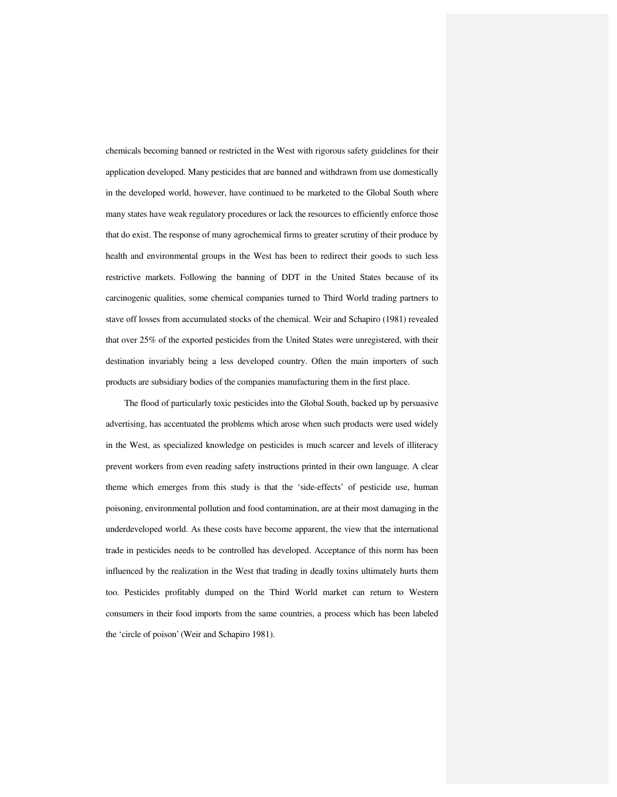chemicals becoming banned or restricted in the West with rigorous safety guidelines for their application developed. Many pesticides that are banned and withdrawn from use domestically in the developed world, however, have continued to be marketed to the Global South where many states have weak regulatory procedures or lack the resources to efficiently enforce those that do exist. The response of many agrochemical firms to greater scrutiny of their produce by health and environmental groups in the West has been to redirect their goods to such less restrictive markets. Following the banning of DDT in the United States because of its carcinogenic qualities, some chemical companies turned to Third World trading partners to stave off losses from accumulated stocks of the chemical. Weir and Schapiro (1981) revealed that over 25% of the exported pesticides from the United States were unregistered, with their destination invariably being a less developed country. Often the main importers of such products are subsidiary bodies of the companies manufacturing them in the first place.

 The flood of particularly toxic pesticides into the Global South, backed up by persuasive advertising, has accentuated the problems which arose when such products were used widely in the West, as specialized knowledge on pesticides is much scarcer and levels of illiteracy prevent workers from even reading safety instructions printed in their own language. A clear theme which emerges from this study is that the 'side-effects' of pesticide use, human poisoning, environmental pollution and food contamination, are at their most damaging in the underdeveloped world. As these costs have become apparent, the view that the international trade in pesticides needs to be controlled has developed. Acceptance of this norm has been influenced by the realization in the West that trading in deadly toxins ultimately hurts them too. Pesticides profitably dumped on the Third World market can return to Western consumers in their food imports from the same countries, a process which has been labeled the 'circle of poison'(Weir and Schapiro 1981).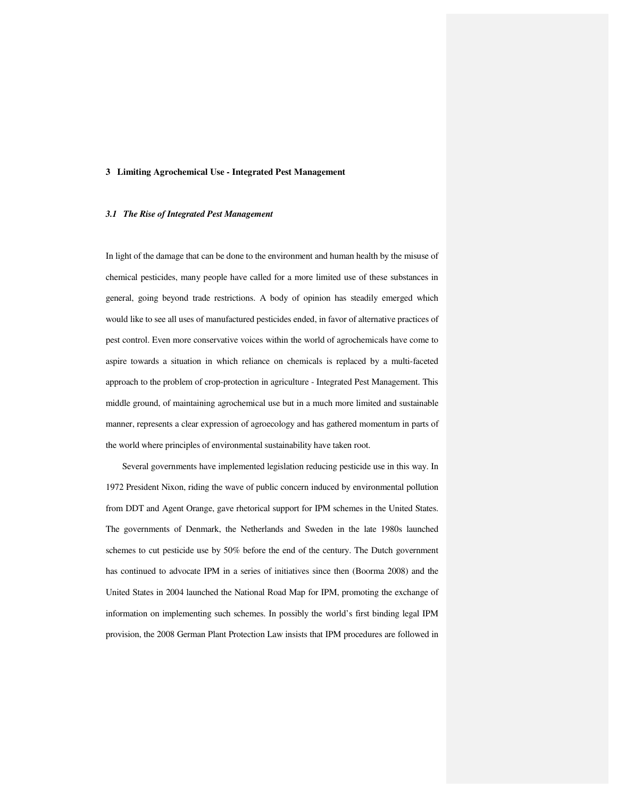#### **3 Limiting Agrochemical Use - Integrated Pest Management**

#### *3.1 The Rise of Integrated Pest Management*

In light of the damage that can be done to the environment and human health by the misuse of chemical pesticides, many people have called for a more limited use of these substances in general, going beyond trade restrictions. A body of opinion has steadily emerged which would like to see all uses of manufactured pesticides ended, in favor of alternative practices of pest control. Even more conservative voices within the world of agrochemicals have come to aspire towards a situation in which reliance on chemicals is replaced by a multi-faceted approach to the problem of crop-protection in agriculture - Integrated Pest Management. This middle ground, of maintaining agrochemical use but in a much more limited and sustainable manner, represents a clear expression of agroecology and has gathered momentum in parts of the world where principles of environmental sustainability have taken root.

Several governments have implemented legislation reducing pesticide use in this way. In 1972 President Nixon, riding the wave of public concern induced by environmental pollution from DDT and Agent Orange, gave rhetorical support for IPM schemes in the United States. The governments of Denmark, the Netherlands and Sweden in the late 1980s launched schemes to cut pesticide use by 50% before the end of the century. The Dutch government has continued to advocate IPM in a series of initiatives since then (Boorma 2008) and the United States in 2004 launched the National Road Map for IPM, promoting the exchange of information on implementing such schemes. In possibly the world's first binding legal IPM provision, the 2008 German Plant Protection Law insists that IPM procedures are followed in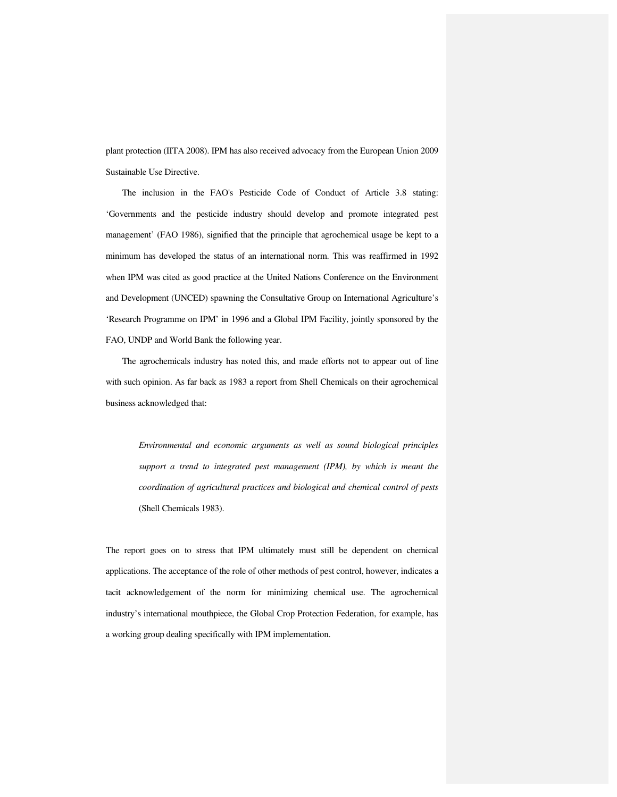plant protection (IITA 2008). IPM has also received advocacy from the European Union 2009 Sustainable Use Directive.

The inclusion in the FAO's Pesticide Code of Conduct of Article 3.8 stating: 'Governments and the pesticide industry should develop and promote integrated pest management' (FAO 1986), signified that the principle that agrochemical usage be kept to a minimum has developed the status of an international norm. This was reaffirmed in 1992 when IPM was cited as good practice at the United Nations Conference on the Environment and Development (UNCED) spawning the Consultative Group on International Agriculture's 'Research Programme on IPM' in 1996 and a Global IPM Facility, jointly sponsored by the FAO, UNDP and World Bank the following year.

The agrochemicals industry has noted this, and made efforts not to appear out of line with such opinion. As far back as 1983 a report from Shell Chemicals on their agrochemical business acknowledged that:

*Environmental and economic arguments as well as sound biological principles support a trend to integrated pest management (IPM), by which is meant the coordination of agricultural practices and biological and chemical control of pests*  (Shell Chemicals 1983).

The report goes on to stress that IPM ultimately must still be dependent on chemical applications. The acceptance of the role of other methods of pest control, however, indicates a tacit acknowledgement of the norm for minimizing chemical use. The agrochemical industry's international mouthpiece, the Global Crop Protection Federation, for example, has a working group dealing specifically with IPM implementation.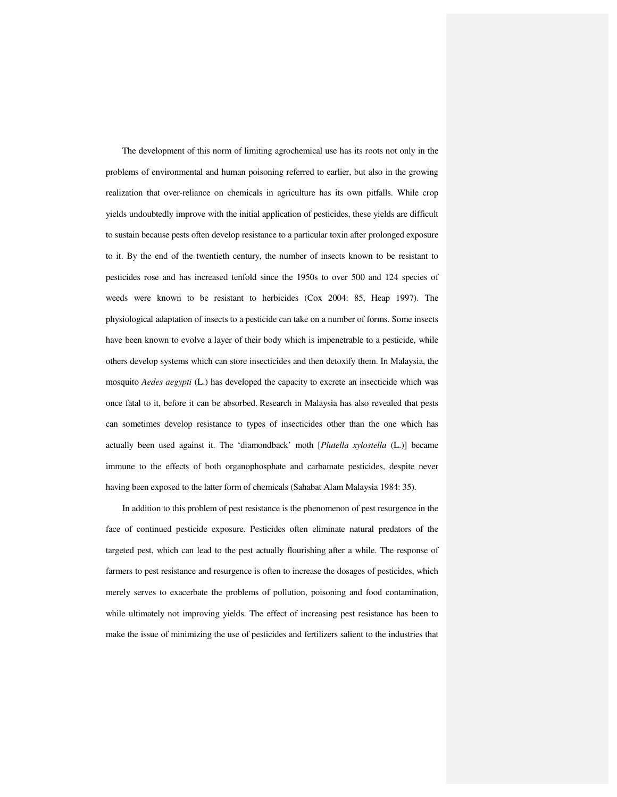The development of this norm of limiting agrochemical use has its roots not only in the problems of environmental and human poisoning referred to earlier, but also in the growing realization that over-reliance on chemicals in agriculture has its own pitfalls. While crop yields undoubtedly improve with the initial application of pesticides, these yields are difficult to sustain because pests often develop resistance to a particular toxin after prolonged exposure to it. By the end of the twentieth century, the number of insects known to be resistant to pesticides rose and has increased tenfold since the 1950s to over 500 and 124 species of weeds were known to be resistant to herbicides (Cox 2004: 85, Heap 1997). The physiological adaptation of insects to a pesticide can take on a number of forms. Some insects have been known to evolve a layer of their body which is impenetrable to a pesticide, while others develop systems which can store insecticides and then detoxify them. In Malaysia, the mosquito *Aedes aegypti* (L.) has developed the capacity to excrete an insecticide which was once fatal to it, before it can be absorbed. Research in Malaysia has also revealed that pests can sometimes develop resistance to types of insecticides other than the one which has actually been used against it. The 'diamondback' moth [*Plutella xylostella* (L.)] became immune to the effects of both organophosphate and carbamate pesticides, despite never having been exposed to the latter form of chemicals (Sahabat Alam Malaysia 1984: 35).

In addition to this problem of pest resistance is the phenomenon of pest resurgence in the face of continued pesticide exposure. Pesticides often eliminate natural predators of the targeted pest, which can lead to the pest actually flourishing after a while. The response of farmers to pest resistance and resurgence is often to increase the dosages of pesticides, which merely serves to exacerbate the problems of pollution, poisoning and food contamination, while ultimately not improving yields. The effect of increasing pest resistance has been to make the issue of minimizing the use of pesticides and fertilizers salient to the industries that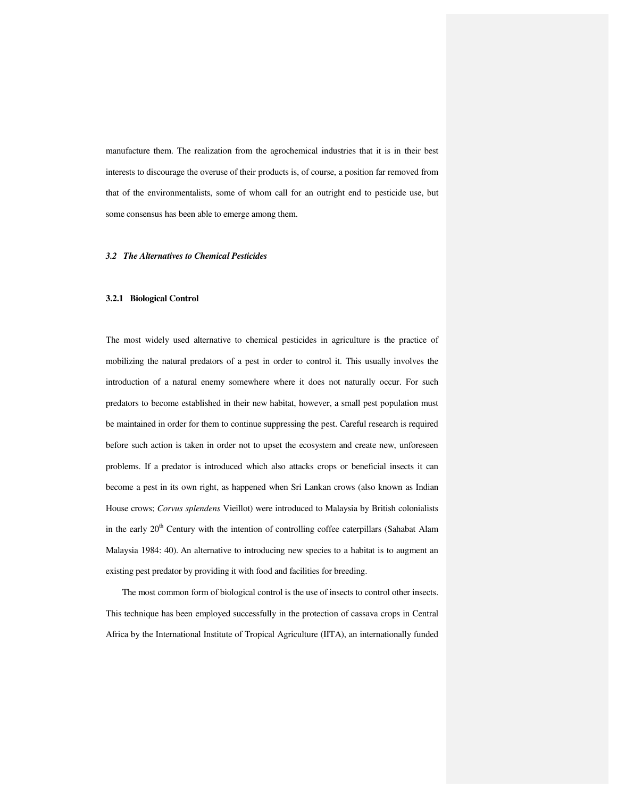manufacture them. The realization from the agrochemical industries that it is in their best interests to discourage the overuse of their products is, of course, a position far removed from that of the environmentalists, some of whom call for an outright end to pesticide use, but some consensus has been able to emerge among them.

#### *3.2 The Alternatives to Chemical Pesticides*

# **3.2.1 Biological Control**

The most widely used alternative to chemical pesticides in agriculture is the practice of mobilizing the natural predators of a pest in order to control it. This usually involves the introduction of a natural enemy somewhere where it does not naturally occur. For such predators to become established in their new habitat, however, a small pest population must be maintained in order for them to continue suppressing the pest. Careful research is required before such action is taken in order not to upset the ecosystem and create new, unforeseen problems. If a predator is introduced which also attacks crops or beneficial insects it can become a pest in its own right, as happened when Sri Lankan crows (also known as Indian House crows; *Corvus splendens* Vieillot) were introduced to Malaysia by British colonialists in the early  $20<sup>th</sup>$  Century with the intention of controlling coffee caterpillars (Sahabat Alam Malaysia 1984: 40). An alternative to introducing new species to a habitat is to augment an existing pest predator by providing it with food and facilities for breeding.

The most common form of biological control is the use of insects to control other insects. This technique has been employed successfully in the protection of cassava crops in Central Africa by the International Institute of Tropical Agriculture (IITA), an internationally funded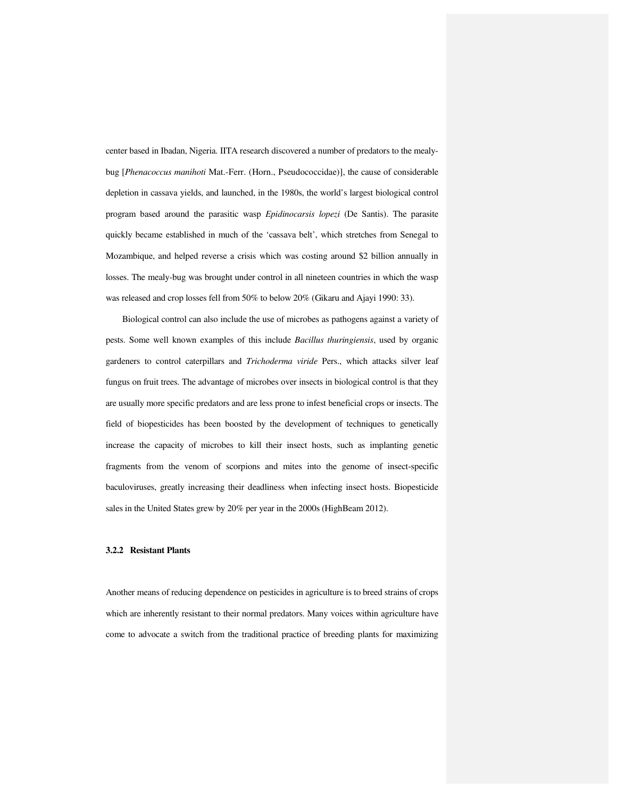center based in Ibadan, Nigeria. IITA research discovered a number of predators to the mealybug [*Phenacoccus manihoti* Mat.-Ferr. (Horn., Pseudococcidae)], the cause of considerable depletion in cassava yields, and launched, in the 1980s, the world's largest biological control program based around the parasitic wasp *Epidinocarsis lopezi* (De Santis). The parasite quickly became established in much of the 'cassava belt', which stretches from Senegal to Mozambique, and helped reverse a crisis which was costing around \$2 billion annually in losses. The mealy-bug was brought under control in all nineteen countries in which the wasp was released and crop losses fell from 50% to below 20% (Gikaru and Ajayi 1990: 33).

Biological control can also include the use of microbes as pathogens against a variety of pests. Some well known examples of this include *Bacillus thuringiensis*, used by organic gardeners to control caterpillars and *Trichoderma viride* Pers., which attacks silver leaf fungus on fruit trees. The advantage of microbes over insects in biological control is that they are usually more specific predators and are less prone to infest beneficial crops or insects. The field of biopesticides has been boosted by the development of techniques to genetically increase the capacity of microbes to kill their insect hosts, such as implanting genetic fragments from the venom of scorpions and mites into the genome of insect-specific baculoviruses, greatly increasing their deadliness when infecting insect hosts. Biopesticide sales in the United States grew by 20% per year in the 2000s (HighBeam 2012).

# **3.2.2 Resistant Plants**

Another means of reducing dependence on pesticides in agriculture is to breed strains of crops which are inherently resistant to their normal predators. Many voices within agriculture have come to advocate a switch from the traditional practice of breeding plants for maximizing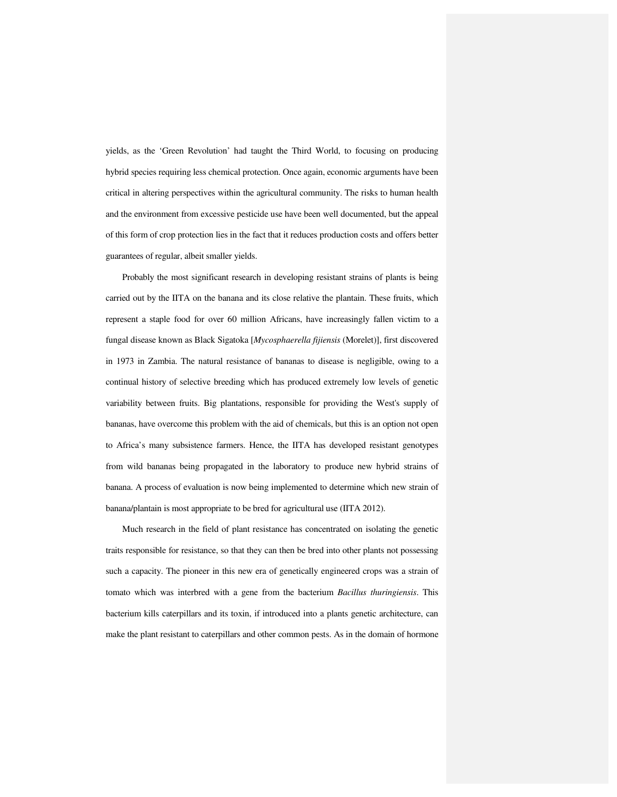yields, as the 'Green Revolution' had taught the Third World, to focusing on producing hybrid species requiring less chemical protection. Once again, economic arguments have been critical in altering perspectives within the agricultural community. The risks to human health and the environment from excessive pesticide use have been well documented, but the appeal of this form of crop protection lies in the fact that it reduces production costs and offers better guarantees of regular, albeit smaller yields.

Probably the most significant research in developing resistant strains of plants is being carried out by the IITA on the banana and its close relative the plantain. These fruits, which represent a staple food for over 60 million Africans, have increasingly fallen victim to a fungal disease known as Black Sigatoka [*Mycosphaerella fijiensis* (Morelet)], first discovered in 1973 in Zambia. The natural resistance of bananas to disease is negligible, owing to a continual history of selective breeding which has produced extremely low levels of genetic variability between fruits. Big plantations, responsible for providing the West's supply of bananas, have overcome this problem with the aid of chemicals, but this is an option not open to Africa's many subsistence farmers. Hence, the IITA has developed resistant genotypes from wild bananas being propagated in the laboratory to produce new hybrid strains of banana. A process of evaluation is now being implemented to determine which new strain of banana/plantain is most appropriate to be bred for agricultural use (IITA 2012).

Much research in the field of plant resistance has concentrated on isolating the genetic traits responsible for resistance, so that they can then be bred into other plants not possessing such a capacity. The pioneer in this new era of genetically engineered crops was a strain of tomato which was interbred with a gene from the bacterium *Bacillus thuringiensis*. This bacterium kills caterpillars and its toxin, if introduced into a plants genetic architecture, can make the plant resistant to caterpillars and other common pests. As in the domain of hormone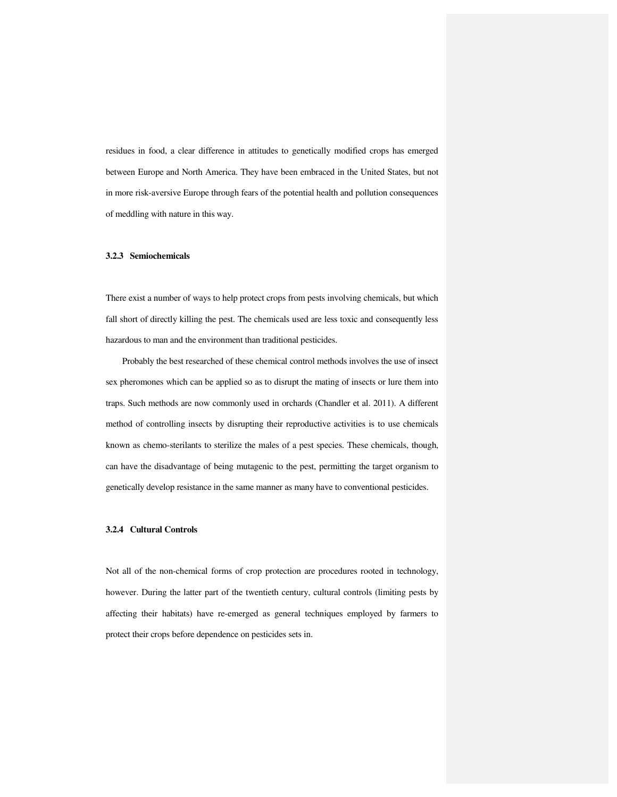residues in food, a clear difference in attitudes to genetically modified crops has emerged between Europe and North America. They have been embraced in the United States, but not in more risk-aversive Europe through fears of the potential health and pollution consequences of meddling with nature in this way.

# **3.2.3 Semiochemicals**

There exist a number of ways to help protect crops from pests involving chemicals, but which fall short of directly killing the pest. The chemicals used are less toxic and consequently less hazardous to man and the environment than traditional pesticides.

Probably the best researched of these chemical control methods involves the use of insect sex pheromones which can be applied so as to disrupt the mating of insects or lure them into traps. Such methods are now commonly used in orchards (Chandler et al. 2011). A different method of controlling insects by disrupting their reproductive activities is to use chemicals known as chemo-sterilants to sterilize the males of a pest species. These chemicals, though, can have the disadvantage of being mutagenic to the pest, permitting the target organism to genetically develop resistance in the same manner as many have to conventional pesticides.

# **3.2.4 Cultural Controls**

Not all of the non-chemical forms of crop protection are procedures rooted in technology, however. During the latter part of the twentieth century, cultural controls (limiting pests by affecting their habitats) have re-emerged as general techniques employed by farmers to protect their crops before dependence on pesticides sets in.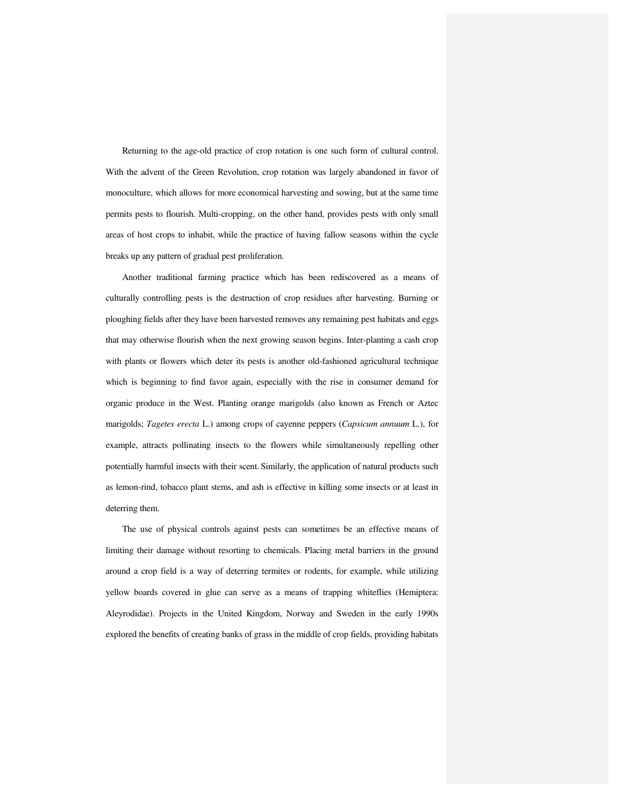Returning to the age-old practice of crop rotation is one such form of cultural control. With the advent of the Green Revolution, crop rotation was largely abandoned in favor of monoculture, which allows for more economical harvesting and sowing, but at the same time permits pests to flourish. Multi-cropping, on the other hand, provides pests with only small areas of host crops to inhabit, while the practice of having fallow seasons within the cycle breaks up any pattern of gradual pest proliferation.

Another traditional farming practice which has been rediscovered as a means of culturally controlling pests is the destruction of crop residues after harvesting. Burning or ploughing fields after they have been harvested removes any remaining pest habitats and eggs that may otherwise flourish when the next growing season begins. Inter-planting a cash crop with plants or flowers which deter its pests is another old-fashioned agricultural technique which is beginning to find favor again, especially with the rise in consumer demand for organic produce in the West. Planting orange marigolds (also known as French or Aztec marigolds; *Tagetes erecta* L.) among crops of cayenne peppers (*Capsicum annuum* L.), for example, attracts pollinating insects to the flowers while simultaneously repelling other potentially harmful insects with their scent. Similarly, the application of natural products such as lemon-rind, tobacco plant stems, and ash is effective in killing some insects or at least in deterring them.

The use of physical controls against pests can sometimes be an effective means of limiting their damage without resorting to chemicals. Placing metal barriers in the ground around a crop field is a way of deterring termites or rodents, for example, while utilizing yellow boards covered in glue can serve as a means of trapping whiteflies (Hemiptera: Aleyrodidae). Projects in the United Kingdom, Norway and Sweden in the early 1990s explored the benefits of creating banks of grass in the middle of crop fields, providing habitats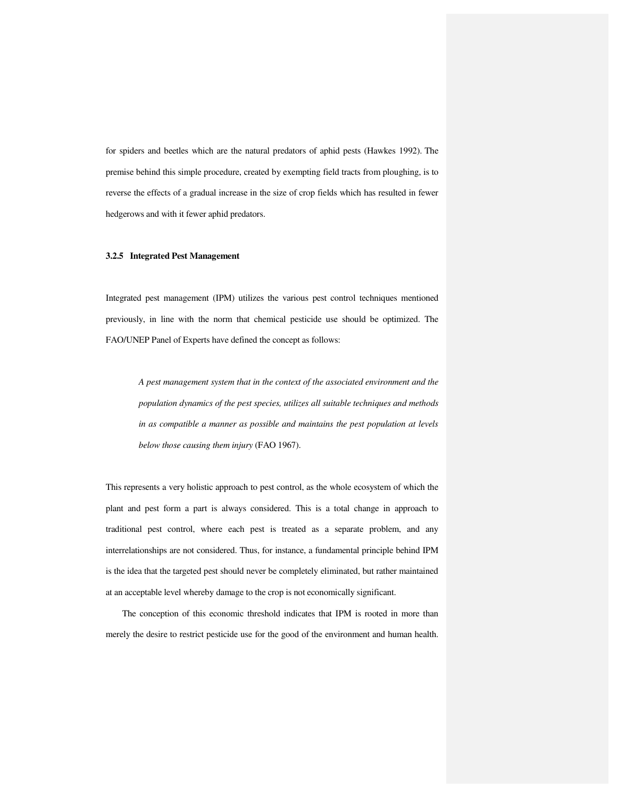for spiders and beetles which are the natural predators of aphid pests (Hawkes 1992). The premise behind this simple procedure, created by exempting field tracts from ploughing, is to reverse the effects of a gradual increase in the size of crop fields which has resulted in fewer hedgerows and with it fewer aphid predators.

# **3.2.5 Integrated Pest Management**

Integrated pest management (IPM) utilizes the various pest control techniques mentioned previously, in line with the norm that chemical pesticide use should be optimized. The FAO/UNEP Panel of Experts have defined the concept as follows:

*A pest management system that in the context of the associated environment and the population dynamics of the pest species, utilizes all suitable techniques and methods in as compatible a manner as possible and maintains the pest population at levels below those causing them injury* (FAO 1967).

This represents a very holistic approach to pest control, as the whole ecosystem of which the plant and pest form a part is always considered. This is a total change in approach to traditional pest control, where each pest is treated as a separate problem, and any interrelationships are not considered. Thus, for instance, a fundamental principle behind IPM is the idea that the targeted pest should never be completely eliminated, but rather maintained at an acceptable level whereby damage to the crop is not economically significant.

The conception of this economic threshold indicates that IPM is rooted in more than merely the desire to restrict pesticide use for the good of the environment and human health.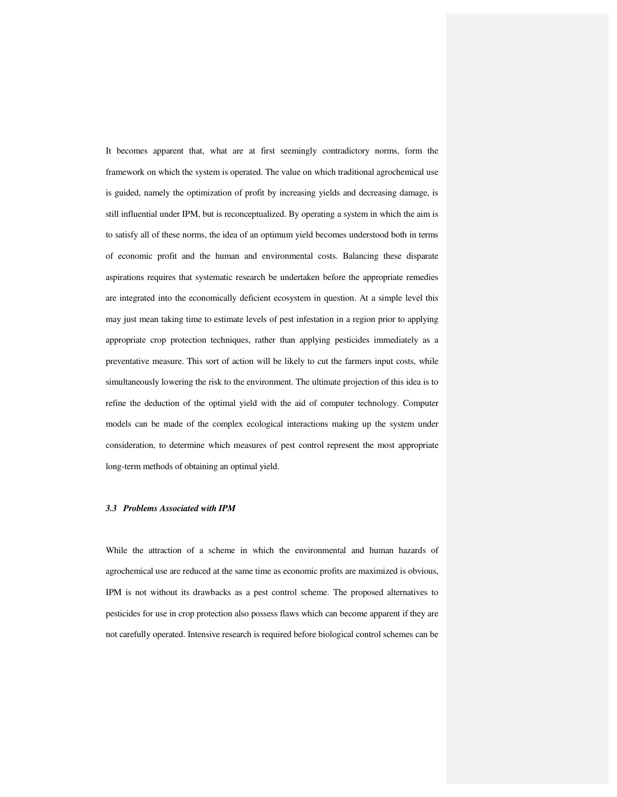It becomes apparent that, what are at first seemingly contradictory norms, form the framework on which the system is operated. The value on which traditional agrochemical use is guided, namely the optimization of profit by increasing yields and decreasing damage, is still influential under IPM, but is reconceptualized. By operating a system in which the aim is to satisfy all of these norms, the idea of an optimum yield becomes understood both in terms of economic profit and the human and environmental costs. Balancing these disparate aspirations requires that systematic research be undertaken before the appropriate remedies are integrated into the economically deficient ecosystem in question. At a simple level this may just mean taking time to estimate levels of pest infestation in a region prior to applying appropriate crop protection techniques, rather than applying pesticides immediately as a preventative measure. This sort of action will be likely to cut the farmers input costs, while simultaneously lowering the risk to the environment. The ultimate projection of this idea is to refine the deduction of the optimal yield with the aid of computer technology. Computer models can be made of the complex ecological interactions making up the system under consideration, to determine which measures of pest control represent the most appropriate long-term methods of obtaining an optimal yield.

# *3.3 Problems Associated with IPM*

While the attraction of a scheme in which the environmental and human hazards of agrochemical use are reduced at the same time as economic profits are maximized is obvious, IPM is not without its drawbacks as a pest control scheme. The proposed alternatives to pesticides for use in crop protection also possess flaws which can become apparent if they are not carefully operated. Intensive research is required before biological control schemes can be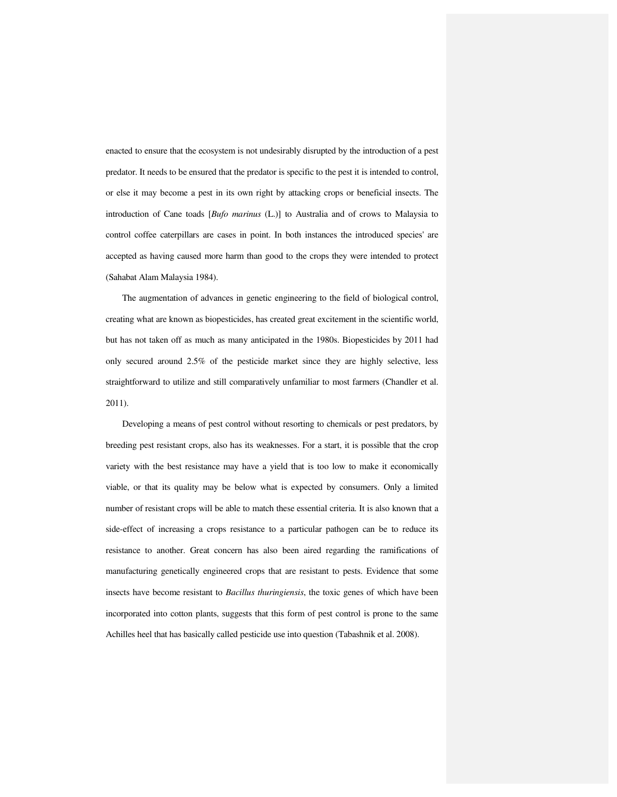enacted to ensure that the ecosystem is not undesirably disrupted by the introduction of a pest predator. It needs to be ensured that the predator is specific to the pest it is intended to control, or else it may become a pest in its own right by attacking crops or beneficial insects. The introduction of Cane toads [*Bufo marinus* (L.)] to Australia and of crows to Malaysia to control coffee caterpillars are cases in point. In both instances the introduced species' are accepted as having caused more harm than good to the crops they were intended to protect (Sahabat Alam Malaysia 1984).

The augmentation of advances in genetic engineering to the field of biological control, creating what are known as biopesticides, has created great excitement in the scientific world, but has not taken off as much as many anticipated in the 1980s. Biopesticides by 2011 had only secured around 2.5% of the pesticide market since they are highly selective, less straightforward to utilize and still comparatively unfamiliar to most farmers (Chandler et al. 2011).

Developing a means of pest control without resorting to chemicals or pest predators, by breeding pest resistant crops, also has its weaknesses. For a start, it is possible that the crop variety with the best resistance may have a yield that is too low to make it economically viable, or that its quality may be below what is expected by consumers. Only a limited number of resistant crops will be able to match these essential criteria. It is also known that a side-effect of increasing a crops resistance to a particular pathogen can be to reduce its resistance to another. Great concern has also been aired regarding the ramifications of manufacturing genetically engineered crops that are resistant to pests. Evidence that some insects have become resistant to *Bacillus thuringiensis*, the toxic genes of which have been incorporated into cotton plants, suggests that this form of pest control is prone to the same Achilles heel that has basically called pesticide use into question (Tabashnik et al. 2008).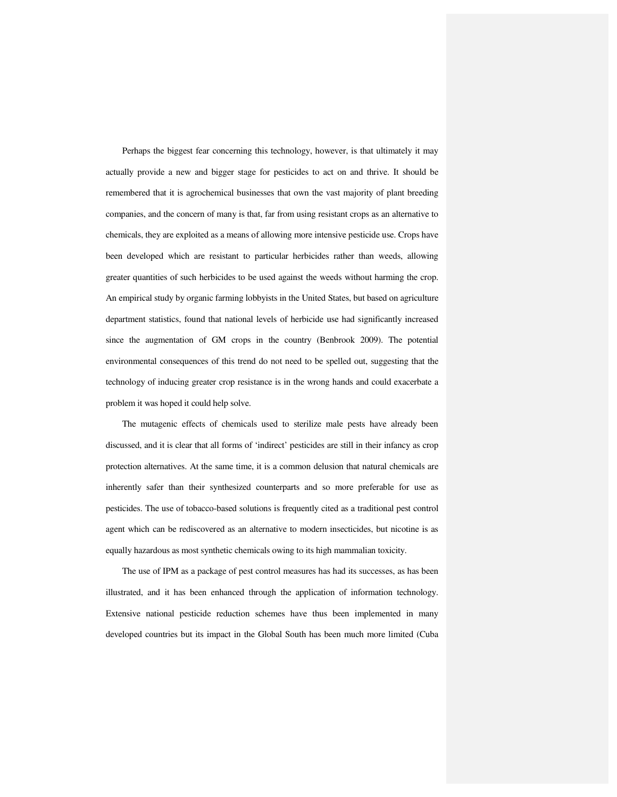Perhaps the biggest fear concerning this technology, however, is that ultimately it may actually provide a new and bigger stage for pesticides to act on and thrive. It should be remembered that it is agrochemical businesses that own the vast majority of plant breeding companies, and the concern of many is that, far from using resistant crops as an alternative to chemicals, they are exploited as a means of allowing more intensive pesticide use. Crops have been developed which are resistant to particular herbicides rather than weeds, allowing greater quantities of such herbicides to be used against the weeds without harming the crop. An empirical study by organic farming lobbyists in the United States, but based on agriculture department statistics, found that national levels of herbicide use had significantly increased since the augmentation of GM crops in the country (Benbrook 2009). The potential environmental consequences of this trend do not need to be spelled out, suggesting that the technology of inducing greater crop resistance is in the wrong hands and could exacerbate a problem it was hoped it could help solve.

The mutagenic effects of chemicals used to sterilize male pests have already been discussed, and it is clear that all forms of 'indirect' pesticides are still in their infancy as crop protection alternatives. At the same time, it is a common delusion that natural chemicals are inherently safer than their synthesized counterparts and so more preferable for use as pesticides. The use of tobacco-based solutions is frequently cited as a traditional pest control agent which can be rediscovered as an alternative to modern insecticides, but nicotine is as equally hazardous as most synthetic chemicals owing to its high mammalian toxicity.

The use of IPM as a package of pest control measures has had its successes, as has been illustrated, and it has been enhanced through the application of information technology. Extensive national pesticide reduction schemes have thus been implemented in many developed countries but its impact in the Global South has been much more limited (Cuba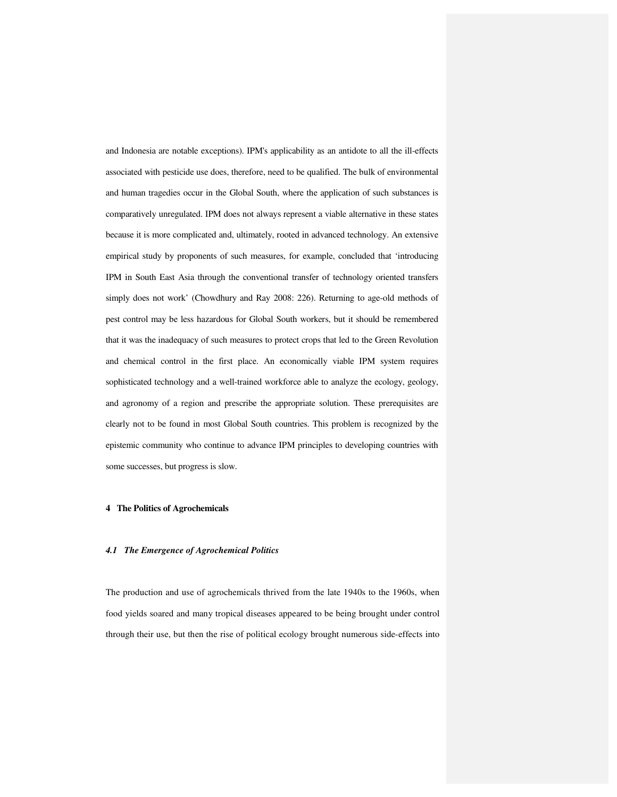and Indonesia are notable exceptions). IPM's applicability as an antidote to all the ill-effects associated with pesticide use does, therefore, need to be qualified. The bulk of environmental and human tragedies occur in the Global South, where the application of such substances is comparatively unregulated. IPM does not always represent a viable alternative in these states because it is more complicated and, ultimately, rooted in advanced technology. An extensive empirical study by proponents of such measures, for example, concluded that 'introducing IPM in South East Asia through the conventional transfer of technology oriented transfers simply does not work' (Chowdhury and Ray 2008: 226). Returning to age-old methods of pest control may be less hazardous for Global South workers, but it should be remembered that it was the inadequacy of such measures to protect crops that led to the Green Revolution and chemical control in the first place. An economically viable IPM system requires sophisticated technology and a well-trained workforce able to analyze the ecology, geology, and agronomy of a region and prescribe the appropriate solution. These prerequisites are clearly not to be found in most Global South countries. This problem is recognized by the epistemic community who continue to advance IPM principles to developing countries with some successes, but progress is slow.

# **4 The Politics of Agrochemicals**

#### *4.1 The Emergence of Agrochemical Politics*

The production and use of agrochemicals thrived from the late 1940s to the 1960s, when food yields soared and many tropical diseases appeared to be being brought under control through their use, but then the rise of political ecology brought numerous side-effects into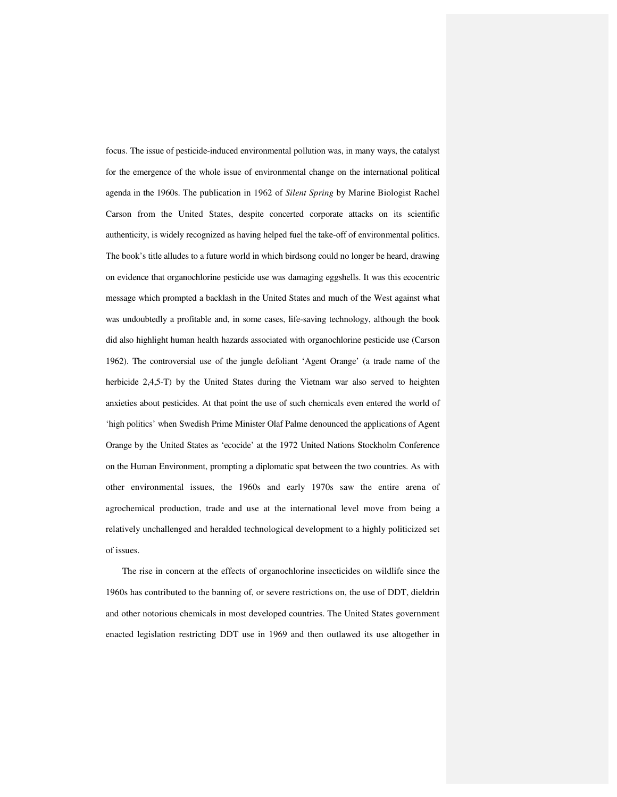focus. The issue of pesticide-induced environmental pollution was, in many ways, the catalyst for the emergence of the whole issue of environmental change on the international political agenda in the 1960s. The publication in 1962 of *Silent Spring* by Marine Biologist Rachel Carson from the United States, despite concerted corporate attacks on its scientific authenticity, is widely recognized as having helped fuel the take-off of environmental politics. The book's title alludes to a future world in which birdsong could no longer be heard, drawing on evidence that organochlorine pesticide use was damaging eggshells. It was this ecocentric message which prompted a backlash in the United States and much of the West against what was undoubtedly a profitable and, in some cases, life-saving technology, although the book did also highlight human health hazards associated with organochlorine pesticide use (Carson 1962). The controversial use of the jungle defoliant 'Agent Orange' (a trade name of the herbicide 2,4,5-T) by the United States during the Vietnam war also served to heighten anxieties about pesticides. At that point the use of such chemicals even entered the world of 'high politics' when Swedish Prime Minister Olaf Palme denounced the applications of Agent Orange by the United States as 'ecocide' at the 1972 United Nations Stockholm Conference on the Human Environment, prompting a diplomatic spat between the two countries. As with other environmental issues, the 1960s and early 1970s saw the entire arena of agrochemical production, trade and use at the international level move from being a relatively unchallenged and heralded technological development to a highly politicized set of issues.

The rise in concern at the effects of organochlorine insecticides on wildlife since the 1960s has contributed to the banning of, or severe restrictions on, the use of DDT, dieldrin and other notorious chemicals in most developed countries. The United States government enacted legislation restricting DDT use in 1969 and then outlawed its use altogether in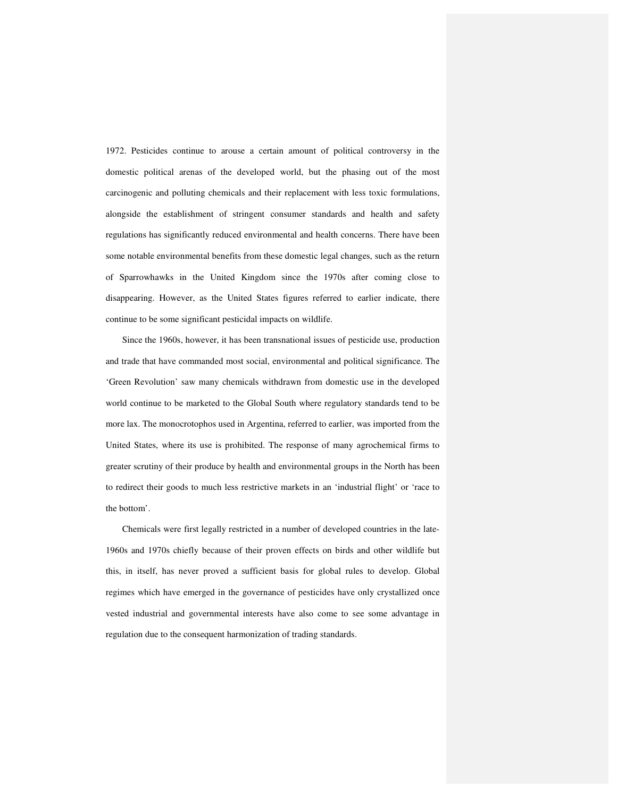1972. Pesticides continue to arouse a certain amount of political controversy in the domestic political arenas of the developed world, but the phasing out of the most carcinogenic and polluting chemicals and their replacement with less toxic formulations, alongside the establishment of stringent consumer standards and health and safety regulations has significantly reduced environmental and health concerns. There have been some notable environmental benefits from these domestic legal changes, such as the return of Sparrowhawks in the United Kingdom since the 1970s after coming close to disappearing. However, as the United States figures referred to earlier indicate, there continue to be some significant pesticidal impacts on wildlife.

Since the 1960s, however, it has been transnational issues of pesticide use, production and trade that have commanded most social, environmental and political significance. The 'Green Revolution' saw many chemicals withdrawn from domestic use in the developed world continue to be marketed to the Global South where regulatory standards tend to be more lax. The monocrotophos used in Argentina, referred to earlier, was imported from the United States, where its use is prohibited. The response of many agrochemical firms to greater scrutiny of their produce by health and environmental groups in the North has been to redirect their goods to much less restrictive markets in an 'industrial flight' or 'race to the bottom'.

Chemicals were first legally restricted in a number of developed countries in the late-1960s and 1970s chiefly because of their proven effects on birds and other wildlife but this, in itself, has never proved a sufficient basis for global rules to develop. Global regimes which have emerged in the governance of pesticides have only crystallized once vested industrial and governmental interests have also come to see some advantage in regulation due to the consequent harmonization of trading standards.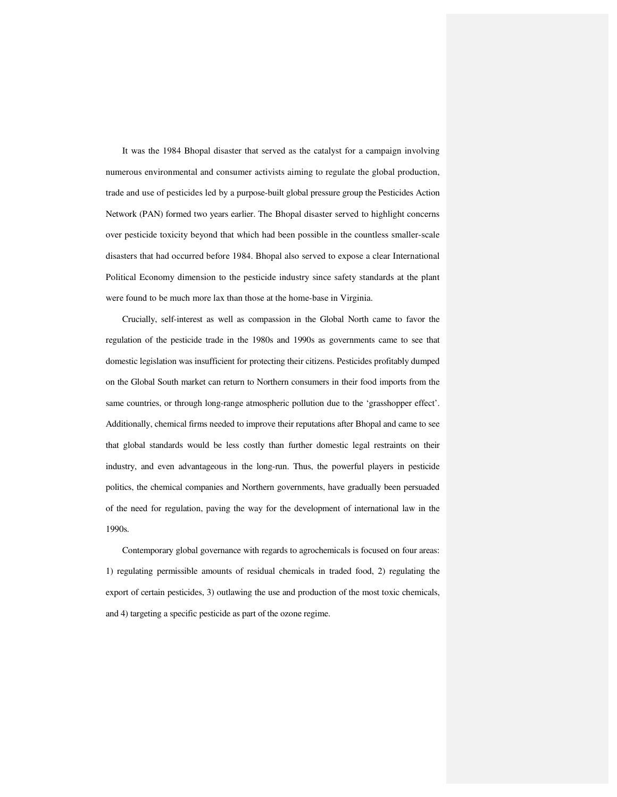It was the 1984 Bhopal disaster that served as the catalyst for a campaign involving numerous environmental and consumer activists aiming to regulate the global production, trade and use of pesticides led by a purpose-built global pressure group the Pesticides Action Network (PAN) formed two years earlier. The Bhopal disaster served to highlight concerns over pesticide toxicity beyond that which had been possible in the countless smaller-scale disasters that had occurred before 1984. Bhopal also served to expose a clear International Political Economy dimension to the pesticide industry since safety standards at the plant were found to be much more lax than those at the home-base in Virginia.

Crucially, self-interest as well as compassion in the Global North came to favor the regulation of the pesticide trade in the 1980s and 1990s as governments came to see that domestic legislation was insufficient for protecting their citizens. Pesticides profitably dumped on the Global South market can return to Northern consumers in their food imports from the same countries, or through long-range atmospheric pollution due to the 'grasshopper effect'. Additionally, chemical firms needed to improve their reputations after Bhopal and came to see that global standards would be less costly than further domestic legal restraints on their industry, and even advantageous in the long-run. Thus, the powerful players in pesticide politics, the chemical companies and Northern governments, have gradually been persuaded of the need for regulation, paving the way for the development of international law in the 1990s.

Contemporary global governance with regards to agrochemicals is focused on four areas: 1) regulating permissible amounts of residual chemicals in traded food, 2) regulating the export of certain pesticides, 3) outlawing the use and production of the most toxic chemicals, and 4) targeting a specific pesticide as part of the ozone regime.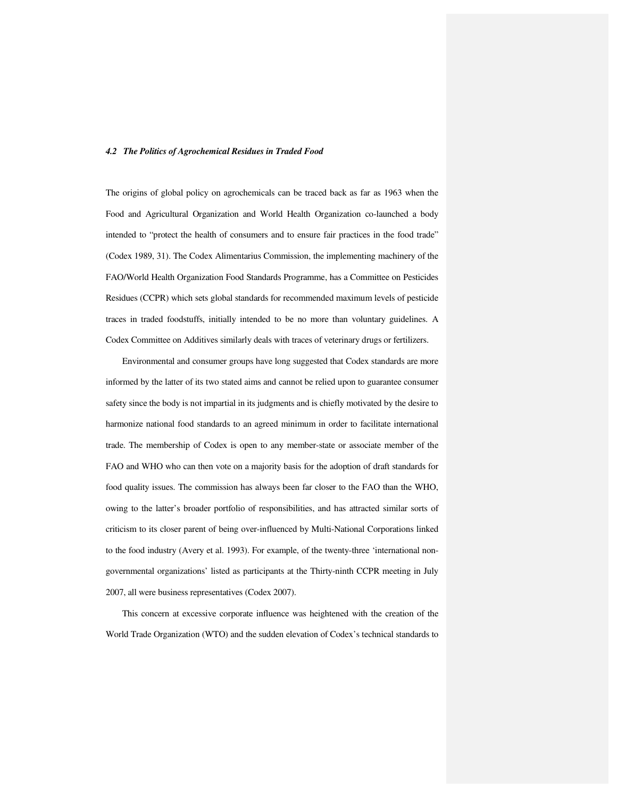#### *4.2 The Politics of Agrochemical Residues in Traded Food*

The origins of global policy on agrochemicals can be traced back as far as 1963 when the Food and Agricultural Organization and World Health Organization co-launched a body intended to "protect the health of consumers and to ensure fair practices in the food trade" (Codex 1989, 31). The Codex Alimentarius Commission, the implementing machinery of the FAO/World Health Organization Food Standards Programme, has a Committee on Pesticides Residues (CCPR) which sets global standards for recommended maximum levels of pesticide traces in traded foodstuffs, initially intended to be no more than voluntary guidelines. A Codex Committee on Additives similarly deals with traces of veterinary drugs or fertilizers.

Environmental and consumer groups have long suggested that Codex standards are more informed by the latter of its two stated aims and cannot be relied upon to guarantee consumer safety since the body is not impartial in its judgments and is chiefly motivated by the desire to harmonize national food standards to an agreed minimum in order to facilitate international trade. The membership of Codex is open to any member-state or associate member of the FAO and WHO who can then vote on a majority basis for the adoption of draft standards for food quality issues. The commission has always been far closer to the FAO than the WHO, owing to the latter's broader portfolio of responsibilities, and has attracted similar sorts of criticism to its closer parent of being over-influenced by Multi-National Corporations linked to the food industry (Avery et al. 1993). For example, of the twenty-three 'international nongovernmental organizations' listed as participants at the Thirty-ninth CCPR meeting in July 2007, all were business representatives (Codex 2007).

This concern at excessive corporate influence was heightened with the creation of the World Trade Organization (WTO) and the sudden elevation of Codex's technical standards to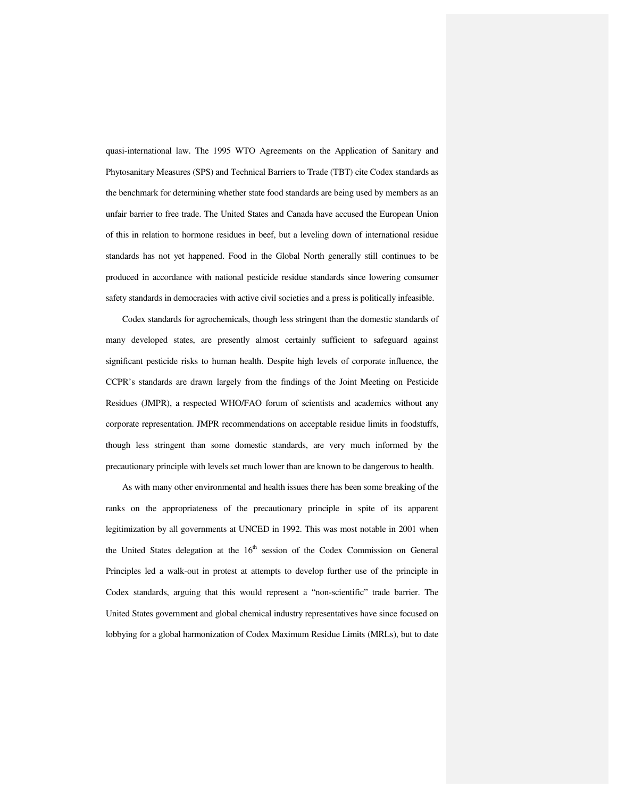quasi-international law. The 1995 WTO Agreements on the Application of Sanitary and Phytosanitary Measures (SPS) and Technical Barriers to Trade (TBT) cite Codex standards as the benchmark for determining whether state food standards are being used by members as an unfair barrier to free trade. The United States and Canada have accused the European Union of this in relation to hormone residues in beef, but a leveling down of international residue standards has not yet happened. Food in the Global North generally still continues to be produced in accordance with national pesticide residue standards since lowering consumer safety standards in democracies with active civil societies and a press is politically infeasible.

Codex standards for agrochemicals, though less stringent than the domestic standards of many developed states, are presently almost certainly sufficient to safeguard against significant pesticide risks to human health. Despite high levels of corporate influence, the CCPR's standards are drawn largely from the findings of the Joint Meeting on Pesticide Residues (JMPR), a respected WHO/FAO forum of scientists and academics without any corporate representation. JMPR recommendations on acceptable residue limits in foodstuffs, though less stringent than some domestic standards, are very much informed by the precautionary principle with levels set much lower than are known to be dangerous to health.

As with many other environmental and health issues there has been some breaking of the ranks on the appropriateness of the precautionary principle in spite of its apparent legitimization by all governments at UNCED in 1992. This was most notable in 2001 when the United States delegation at the  $16<sup>th</sup>$  session of the Codex Commission on General Principles led a walk-out in protest at attempts to develop further use of the principle in Codex standards, arguing that this would represent a "non-scientific" trade barrier. The United States government and global chemical industry representatives have since focused on lobbying for a global harmonization of Codex Maximum Residue Limits (MRLs), but to date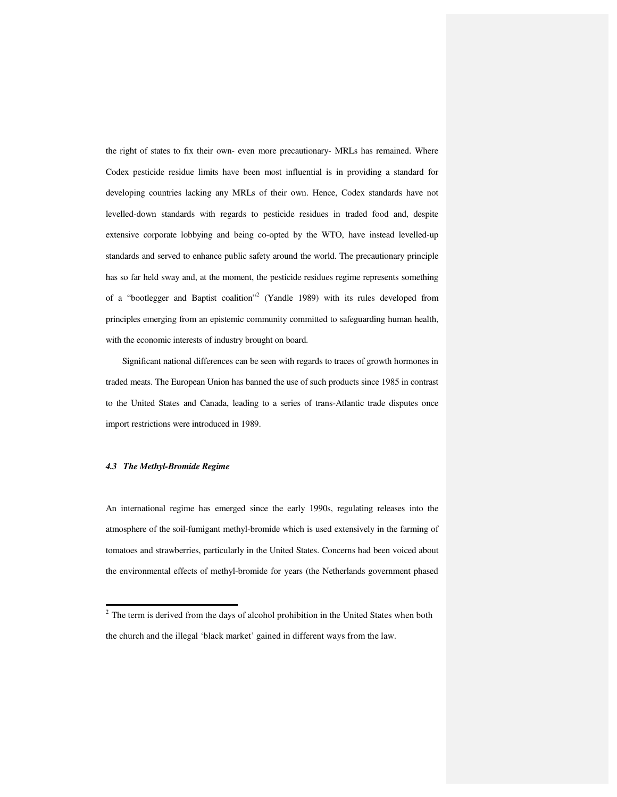the right of states to fix their own- even more precautionary- MRLs has remained. Where Codex pesticide residue limits have been most influential is in providing a standard for developing countries lacking any MRLs of their own. Hence, Codex standards have not levelled-down standards with regards to pesticide residues in traded food and, despite extensive corporate lobbying and being co-opted by the WTO, have instead levelled-up standards and served to enhance public safety around the world. The precautionary principle has so far held sway and, at the moment, the pesticide residues regime represents something of a "bootlegger and Baptist coalition"<sup>2</sup> (Yandle 1989) with its rules developed from principles emerging from an epistemic community committed to safeguarding human health, with the economic interests of industry brought on board.

Significant national differences can be seen with regards to traces of growth hormones in traded meats. The European Union has banned the use of such products since 1985 in contrast to the United States and Canada, leading to a series of trans-Atlantic trade disputes once import restrictions were introduced in 1989.

#### *4.3 The Methyl-Bromide Regime*

L

An international regime has emerged since the early 1990s, regulating releases into the atmosphere of the soil-fumigant methyl-bromide which is used extensively in the farming of tomatoes and strawberries, particularly in the United States. Concerns had been voiced about the environmental effects of methyl-bromide for years (the Netherlands government phased

 $2$  The term is derived from the days of alcohol prohibition in the United States when both the church and the illegal 'black market' gained in different ways from the law.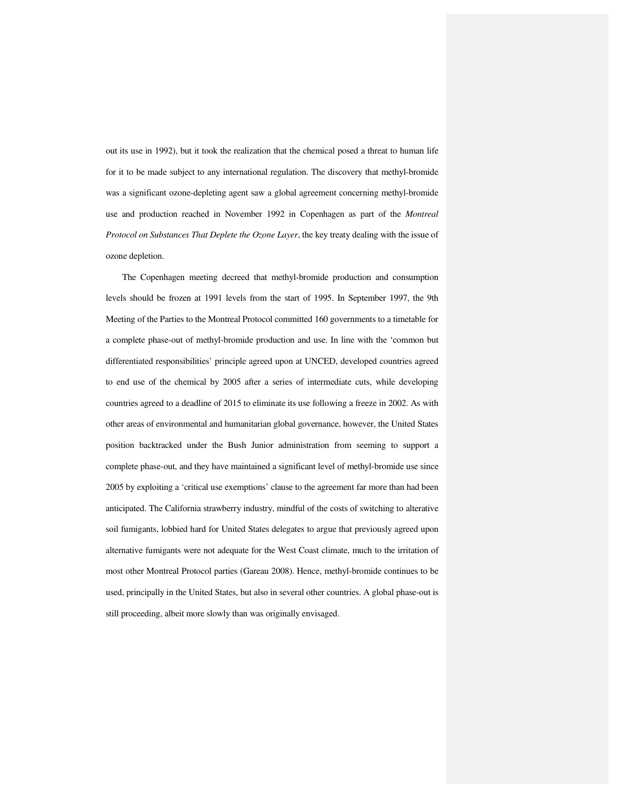out its use in 1992), but it took the realization that the chemical posed a threat to human life for it to be made subject to any international regulation. The discovery that methyl-bromide was a significant ozone-depleting agent saw a global agreement concerning methyl-bromide use and production reached in November 1992 in Copenhagen as part of the *Montreal Protocol on Substances That Deplete the Ozone Layer*, the key treaty dealing with the issue of ozone depletion.

The Copenhagen meeting decreed that methyl-bromide production and consumption levels should be frozen at 1991 levels from the start of 1995. In September 1997, the 9th Meeting of the Parties to the Montreal Protocol committed 160 governments to a timetable for a complete phase-out of methyl-bromide production and use. In line with the 'common but differentiated responsibilities' principle agreed upon at UNCED, developed countries agreed to end use of the chemical by 2005 after a series of intermediate cuts, while developing countries agreed to a deadline of 2015 to eliminate its use following a freeze in 2002. As with other areas of environmental and humanitarian global governance, however, the United States position backtracked under the Bush Junior administration from seeming to support a complete phase-out, and they have maintained a significant level of methyl-bromide use since 2005 by exploiting a 'critical use exemptions' clause to the agreement far more than had been anticipated. The California strawberry industry, mindful of the costs of switching to alterative soil fumigants, lobbied hard for United States delegates to argue that previously agreed upon alternative fumigants were not adequate for the West Coast climate, much to the irritation of most other Montreal Protocol parties (Gareau 2008). Hence, methyl-bromide continues to be used, principally in the United States, but also in several other countries. A global phase-out is still proceeding, albeit more slowly than was originally envisaged.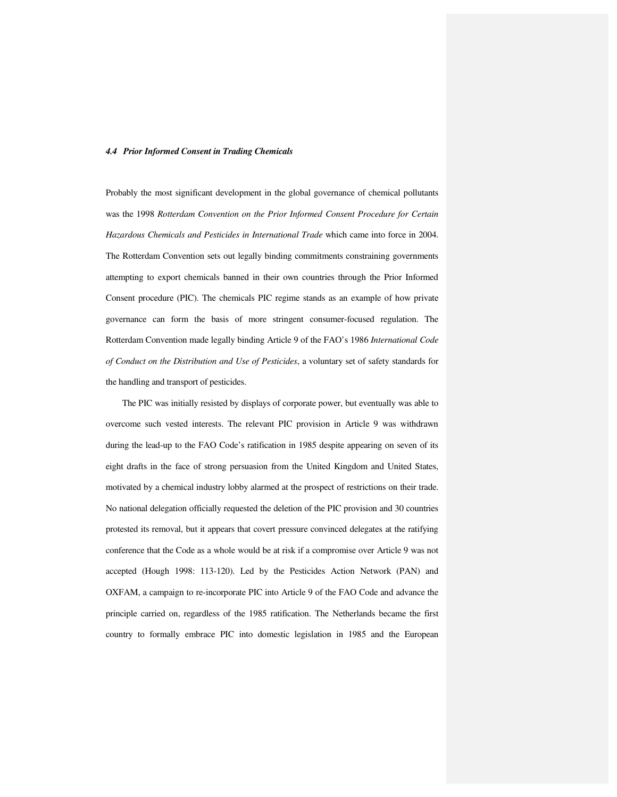#### *4.4 Prior Informed Consent in Trading Chemicals*

Probably the most significant development in the global governance of chemical pollutants was the 1998 *Rotterdam Convention on the Prior Informed Consent Procedure for Certain Hazardous Chemicals and Pesticides in International Trade* which came into force in 2004. The Rotterdam Convention sets out legally binding commitments constraining governments attempting to export chemicals banned in their own countries through the Prior Informed Consent procedure (PIC). The chemicals PIC regime stands as an example of how private governance can form the basis of more stringent consumer-focused regulation. The Rotterdam Convention made legally binding Article 9 of the FAO's 1986 *International Code of Conduct on the Distribution and Use of Pesticides*, a voluntary set of safety standards for the handling and transport of pesticides.

The PIC was initially resisted by displays of corporate power, but eventually was able to overcome such vested interests. The relevant PIC provision in Article 9 was withdrawn during the lead-up to the FAO Code's ratification in 1985 despite appearing on seven of its eight drafts in the face of strong persuasion from the United Kingdom and United States, motivated by a chemical industry lobby alarmed at the prospect of restrictions on their trade. No national delegation officially requested the deletion of the PIC provision and 30 countries protested its removal, but it appears that covert pressure convinced delegates at the ratifying conference that the Code as a whole would be at risk if a compromise over Article 9 was not accepted (Hough 1998: 113-120). Led by the Pesticides Action Network (PAN) and OXFAM, a campaign to re-incorporate PIC into Article 9 of the FAO Code and advance the principle carried on, regardless of the 1985 ratification. The Netherlands became the first country to formally embrace PIC into domestic legislation in 1985 and the European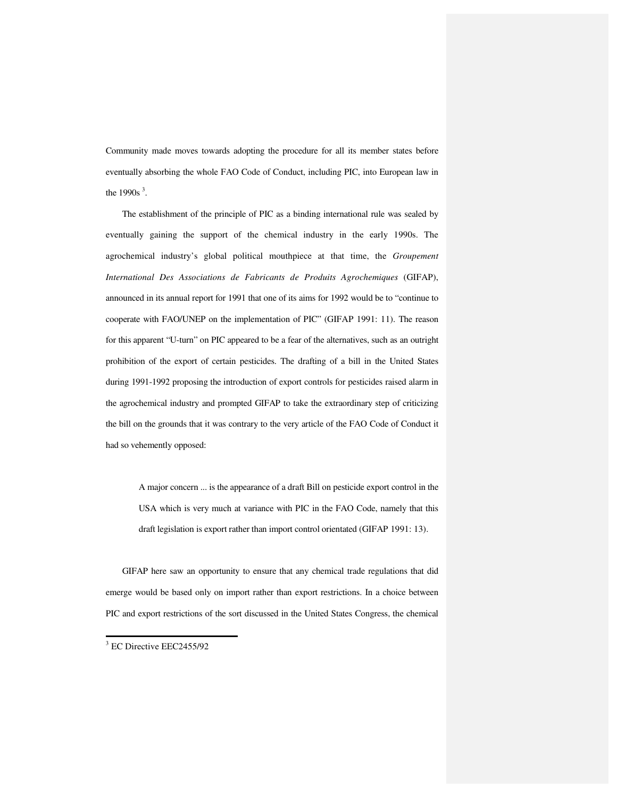Community made moves towards adopting the procedure for all its member states before eventually absorbing the whole FAO Code of Conduct, including PIC, into European law in the 1990s  $3$ .

The establishment of the principle of PIC as a binding international rule was sealed by eventually gaining the support of the chemical industry in the early 1990s. The agrochemical industry's global political mouthpiece at that time, the *Groupement International Des Associations de Fabricants de Produits Agrochemiques* (GIFAP), announced in its annual report for 1991 that one of its aims for 1992 would be to "continue to cooperate with FAO/UNEP on the implementation of PIC" (GIFAP 1991: 11). The reason for this apparent "U-turn" on PIC appeared to be a fear of the alternatives, such as an outright prohibition of the export of certain pesticides. The drafting of a bill in the United States during 1991-1992 proposing the introduction of export controls for pesticides raised alarm in the agrochemical industry and prompted GIFAP to take the extraordinary step of criticizing the bill on the grounds that it was contrary to the very article of the FAO Code of Conduct it had so vehemently opposed:

 A major concern ... is the appearance of a draft Bill on pesticide export control in the USA which is very much at variance with PIC in the FAO Code, namely that this draft legislation is export rather than import control orientated (GIFAP 1991: 13).

GIFAP here saw an opportunity to ensure that any chemical trade regulations that did emerge would be based only on import rather than export restrictions. In a choice between PIC and export restrictions of the sort discussed in the United States Congress, the chemical

L

<sup>&</sup>lt;sup>3</sup> EC Directive EEC2455/92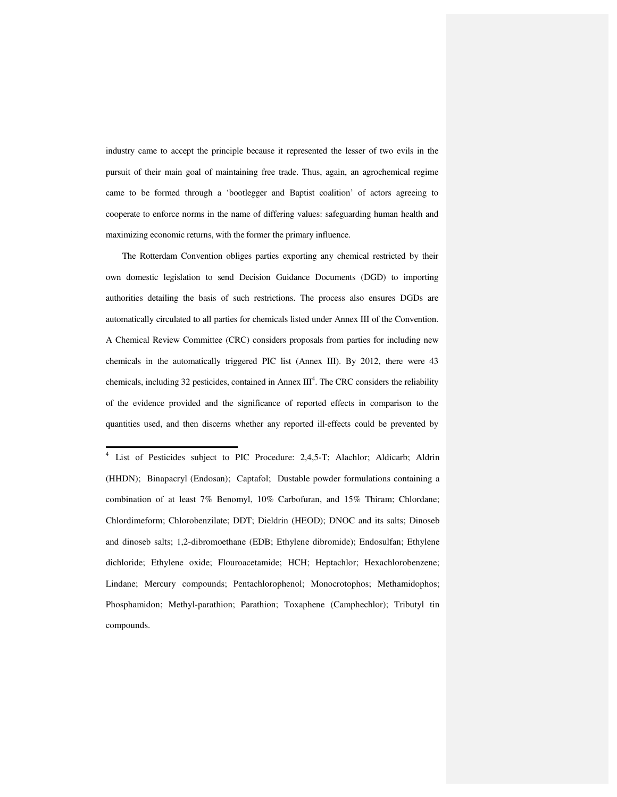industry came to accept the principle because it represented the lesser of two evils in the pursuit of their main goal of maintaining free trade. Thus, again, an agrochemical regime came to be formed through a 'bootlegger and Baptist coalition' of actors agreeing to cooperate to enforce norms in the name of differing values: safeguarding human health and maximizing economic returns, with the former the primary influence.

The Rotterdam Convention obliges parties exporting any chemical restricted by their own domestic legislation to send Decision Guidance Documents (DGD) to importing authorities detailing the basis of such restrictions. The process also ensures DGDs are automatically circulated to all parties for chemicals listed under Annex III of the Convention. A Chemical Review Committee (CRC) considers proposals from parties for including new chemicals in the automatically triggered PIC list (Annex III). By 2012, there were 43 chemicals, including 32 pesticides, contained in Annex  $III<sup>4</sup>$ . The CRC considers the reliability of the evidence provided and the significance of reported effects in comparison to the quantities used, and then discerns whether any reported ill-effects could be prevented by

L

<sup>&</sup>lt;sup>4</sup> List of Pesticides subject to PIC Procedure: 2,4,5-T; Alachlor; Aldicarb; Aldrin (HHDN); Binapacryl (Endosan); Captafol; Dustable powder formulations containing a combination of at least 7% Benomyl, 10% Carbofuran, and 15% Thiram; Chlordane; Chlordimeform; Chlorobenzilate; DDT; Dieldrin (HEOD); DNOC and its salts; Dinoseb and dinoseb salts; 1,2-dibromoethane (EDB; Ethylene dibromide); Endosulfan; Ethylene dichloride; Ethylene oxide; Flouroacetamide; HCH; Heptachlor; Hexachlorobenzene; Lindane; Mercury compounds; Pentachlorophenol; Monocrotophos; Methamidophos; Phosphamidon; Methyl-parathion; Parathion; Toxaphene (Camphechlor); Tributyl tin compounds.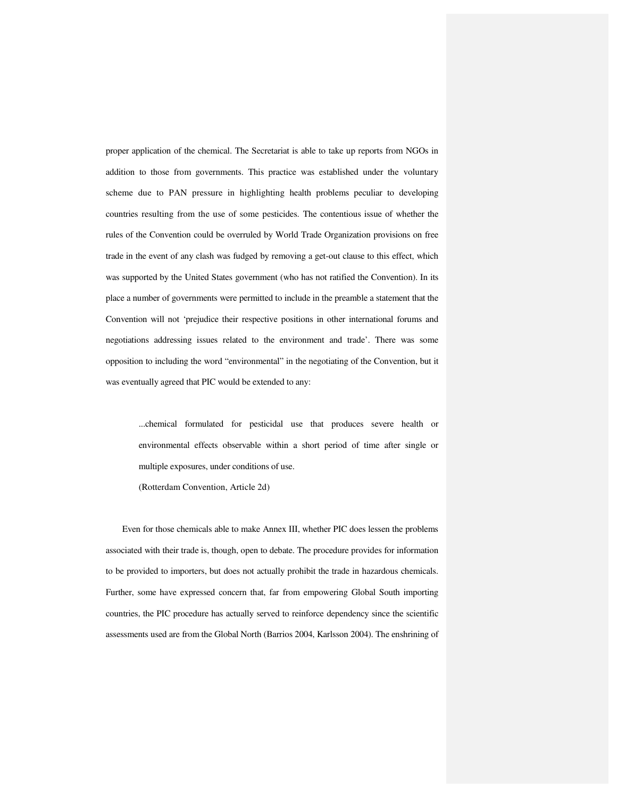proper application of the chemical. The Secretariat is able to take up reports from NGOs in addition to those from governments. This practice was established under the voluntary scheme due to PAN pressure in highlighting health problems peculiar to developing countries resulting from the use of some pesticides. The contentious issue of whether the rules of the Convention could be overruled by World Trade Organization provisions on free trade in the event of any clash was fudged by removing a get-out clause to this effect, which was supported by the United States government (who has not ratified the Convention). In its place a number of governments were permitted to include in the preamble a statement that the Convention will not 'prejudice their respective positions in other international forums and negotiations addressing issues related to the environment and trade'. There was some opposition to including the word "environmental" in the negotiating of the Convention, but it was eventually agreed that PIC would be extended to any:

...chemical formulated for pesticidal use that produces severe health or environmental effects observable within a short period of time after single or multiple exposures, under conditions of use.

(Rotterdam Convention, Article 2d)

Even for those chemicals able to make Annex III, whether PIC does lessen the problems associated with their trade is, though, open to debate. The procedure provides for information to be provided to importers, but does not actually prohibit the trade in hazardous chemicals. Further, some have expressed concern that, far from empowering Global South importing countries, the PIC procedure has actually served to reinforce dependency since the scientific assessments used are from the Global North (Barrios 2004, Karlsson 2004). The enshrining of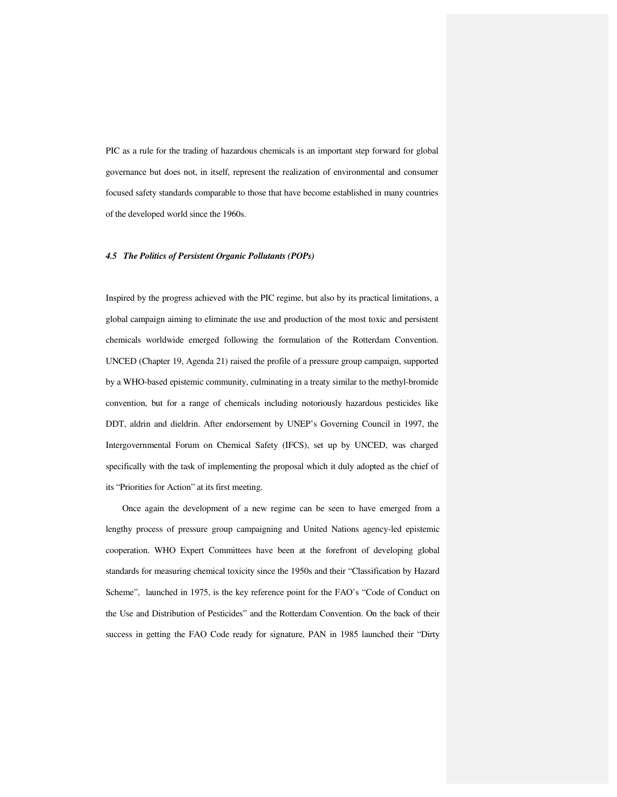PIC as a rule for the trading of hazardous chemicals is an important step forward for global governance but does not, in itself, represent the realization of environmental and consumer focused safety standards comparable to those that have become established in many countries of the developed world since the 1960s.

#### *4.5 The Politics of Persistent Organic Pollutants (POPs)*

Inspired by the progress achieved with the PIC regime, but also by its practical limitations, a global campaign aiming to eliminate the use and production of the most toxic and persistent chemicals worldwide emerged following the formulation of the Rotterdam Convention. UNCED (Chapter 19, Agenda 21) raised the profile of a pressure group campaign, supported by a WHO-based epistemic community, culminating in a treaty similar to the methyl-bromide convention, but for a range of chemicals including notoriously hazardous pesticides like DDT, aldrin and dieldrin. After endorsement by UNEP's Governing Council in 1997, the Intergovernmental Forum on Chemical Safety (IFCS), set up by UNCED, was charged specifically with the task of implementing the proposal which it duly adopted as the chief of its "Priorities for Action" at its first meeting.

Once again the development of a new regime can be seen to have emerged from a lengthy process of pressure group campaigning and United Nations agency-led epistemic cooperation. WHO Expert Committees have been at the forefront of developing global standards for measuring chemical toxicity since the 1950s and their "Classification by Hazard Scheme", launched in 1975, is the key reference point for the FAO's "Code of Conduct on the Use and Distribution of Pesticides" and the Rotterdam Convention. On the back of their success in getting the FAO Code ready for signature, PAN in 1985 launched their "Dirty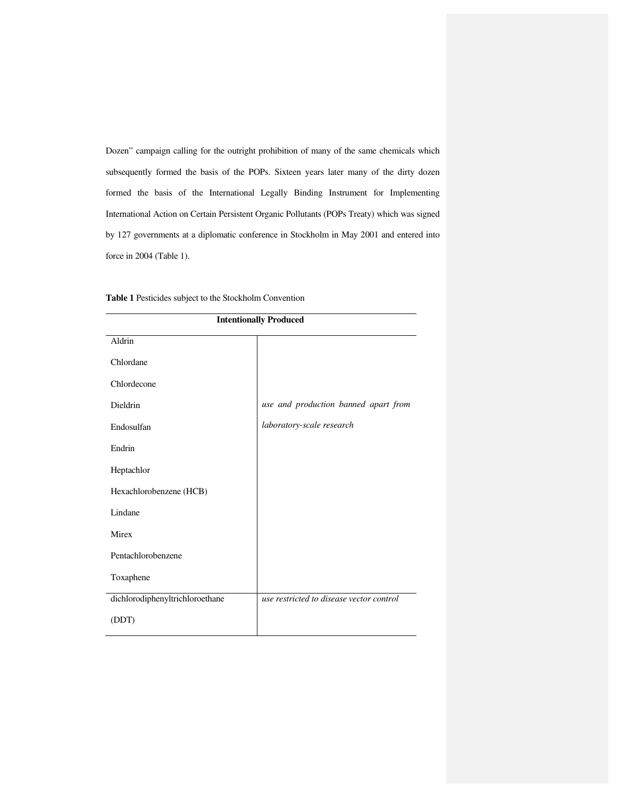Dozen" campaign calling for the outright prohibition of many of the same chemicals which subsequently formed the basis of the POPs. Sixteen years later many of the dirty dozen formed the basis of the International Legally Binding Instrument for Implementing International Action on Certain Persistent Organic Pollutants (POPs Treaty) which was signed by 127 governments at a diplomatic conference in Stockholm in May 2001 and entered into force in 2004 (Table 1).

| <b>Intentionally Produced</b>   |                                          |
|---------------------------------|------------------------------------------|
| <b>Aldrin</b>                   |                                          |
| Chlordane                       |                                          |
| Chlordecone                     |                                          |
| Dieldrin                        | use and production banned apart from     |
| Endosulfan                      | laboratory-scale research                |
| Endrin                          |                                          |
| Heptachlor                      |                                          |
| Hexachlorobenzene (HCB)         |                                          |
| Lindane                         |                                          |
| Mirex                           |                                          |
| Pentachlorobenzene              |                                          |
| Toxaphene                       |                                          |
| dichlorodiphenyltrichloroethane | use restricted to disease vector control |
| (DDT)                           |                                          |

**Table 1** Pesticides subject to the Stockholm Convention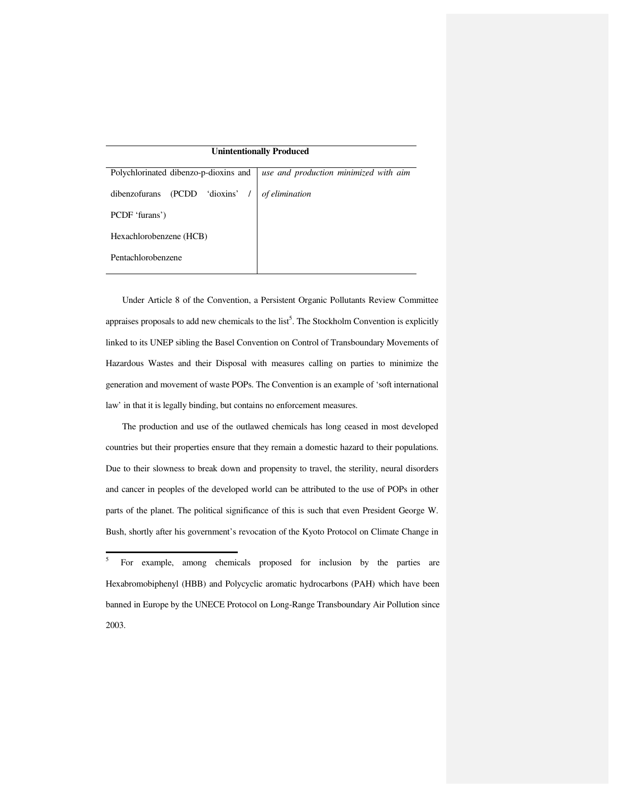|                                    | Polychlorinated dibenzo-p-dioxins and <i>use and production minimized with aim</i> |
|------------------------------------|------------------------------------------------------------------------------------|
|                                    |                                                                                    |
| (PCDD 'dioxins' /<br>dibenzofurans | of elimination                                                                     |
|                                    |                                                                                    |
| PCDF 'furans')                     |                                                                                    |
|                                    |                                                                                    |
| Hexachlorobenzene (HCB)            |                                                                                    |
|                                    |                                                                                    |
|                                    |                                                                                    |
| Pentachlorobenzene                 |                                                                                    |
|                                    |                                                                                    |

Under Article 8 of the Convention, a Persistent Organic Pollutants Review Committee appraises proposals to add new chemicals to the list<sup>5</sup>. The Stockholm Convention is explicitly linked to its UNEP sibling the Basel Convention on Control of Transboundary Movements of Hazardous Wastes and their Disposal with measures calling on parties to minimize the generation and movement of waste POPs. The Convention is an example of 'soft international law' in that it is legally binding, but contains no enforcement measures.

The production and use of the outlawed chemicals has long ceased in most developed countries but their properties ensure that they remain a domestic hazard to their populations. Due to their slowness to break down and propensity to travel, the sterility, neural disorders and cancer in peoples of the developed world can be attributed to the use of POPs in other parts of the planet. The political significance of this is such that even President George W. Bush, shortly after his government's revocation of the Kyoto Protocol on Climate Change in

L

<sup>5</sup> For example, among chemicals proposed for inclusion by the parties are Hexabromobiphenyl (HBB) and Polycyclic aromatic hydrocarbons (PAH) which have been banned in Europe by the UNECE Protocol on Long-Range Transboundary Air Pollution since 2003.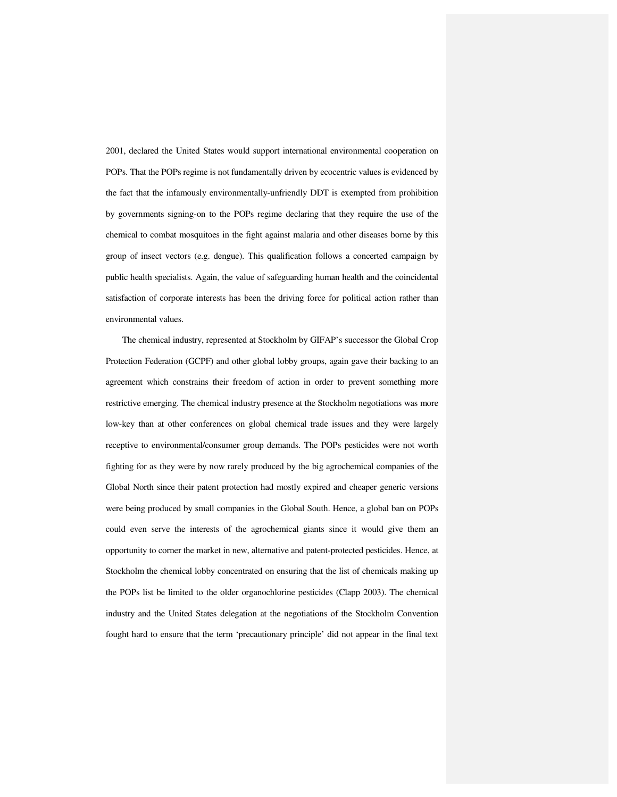2001, declared the United States would support international environmental cooperation on POPs. That the POPs regime is not fundamentally driven by ecocentric values is evidenced by the fact that the infamously environmentally-unfriendly DDT is exempted from prohibition by governments signing-on to the POPs regime declaring that they require the use of the chemical to combat mosquitoes in the fight against malaria and other diseases borne by this group of insect vectors (e.g. dengue). This qualification follows a concerted campaign by public health specialists. Again, the value of safeguarding human health and the coincidental satisfaction of corporate interests has been the driving force for political action rather than environmental values.

The chemical industry, represented at Stockholm by GIFAP's successor the Global Crop Protection Federation (GCPF) and other global lobby groups, again gave their backing to an agreement which constrains their freedom of action in order to prevent something more restrictive emerging. The chemical industry presence at the Stockholm negotiations was more low-key than at other conferences on global chemical trade issues and they were largely receptive to environmental/consumer group demands. The POPs pesticides were not worth fighting for as they were by now rarely produced by the big agrochemical companies of the Global North since their patent protection had mostly expired and cheaper generic versions were being produced by small companies in the Global South. Hence, a global ban on POPs could even serve the interests of the agrochemical giants since it would give them an opportunity to corner the market in new, alternative and patent-protected pesticides. Hence, at Stockholm the chemical lobby concentrated on ensuring that the list of chemicals making up the POPs list be limited to the older organochlorine pesticides (Clapp 2003). The chemical industry and the United States delegation at the negotiations of the Stockholm Convention fought hard to ensure that the term 'precautionary principle' did not appear in the final text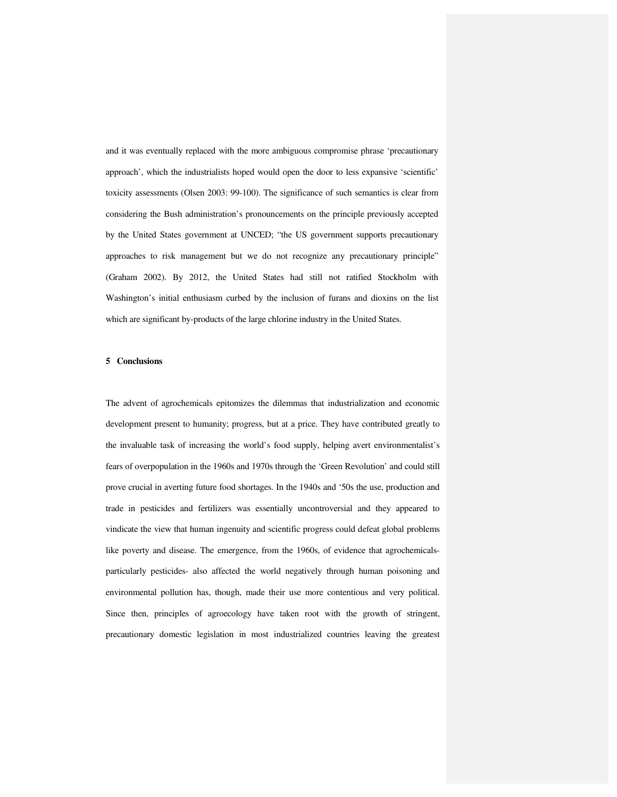and it was eventually replaced with the more ambiguous compromise phrase 'precautionary approach', which the industrialists hoped would open the door to less expansive 'scientific' toxicity assessments (Olsen 2003: 99-100). The significance of such semantics is clear from considering the Bush administration's pronouncements on the principle previously accepted by the United States government at UNCED; "the US government supports precautionary approaches to risk management but we do not recognize any precautionary principle" (Graham 2002). By 2012, the United States had still not ratified Stockholm with Washington's initial enthusiasm curbed by the inclusion of furans and dioxins on the list which are significant by-products of the large chlorine industry in the United States.

# **5 Conclusions**

The advent of agrochemicals epitomizes the dilemmas that industrialization and economic development present to humanity; progress, but at a price. They have contributed greatly to the invaluable task of increasing the world's food supply, helping avert environmentalist's fears of overpopulation in the 1960s and 1970s through the 'Green Revolution' and could still prove crucial in averting future food shortages. In the 1940s and '50s the use, production and trade in pesticides and fertilizers was essentially uncontroversial and they appeared to vindicate the view that human ingenuity and scientific progress could defeat global problems like poverty and disease. The emergence, from the 1960s, of evidence that agrochemicalsparticularly pesticides- also affected the world negatively through human poisoning and environmental pollution has, though, made their use more contentious and very political. Since then, principles of agroecology have taken root with the growth of stringent, precautionary domestic legislation in most industrialized countries leaving the greatest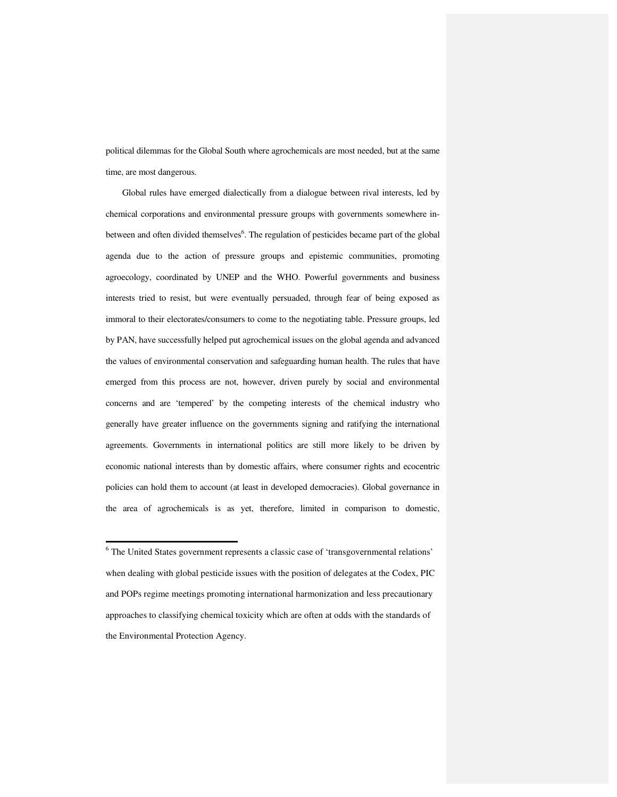political dilemmas for the Global South where agrochemicals are most needed, but at the same time, are most dangerous.

Global rules have emerged dialectically from a dialogue between rival interests, led by chemical corporations and environmental pressure groups with governments somewhere inbetween and often divided themselves<sup>6</sup>. The regulation of pesticides became part of the global agenda due to the action of pressure groups and epistemic communities, promoting agroecology, coordinated by UNEP and the WHO. Powerful governments and business interests tried to resist, but were eventually persuaded, through fear of being exposed as immoral to their electorates/consumers to come to the negotiating table. Pressure groups, led by PAN, have successfully helped put agrochemical issues on the global agenda and advanced the values of environmental conservation and safeguarding human health. The rules that have emerged from this process are not, however, driven purely by social and environmental concerns and are 'tempered' by the competing interests of the chemical industry who generally have greater influence on the governments signing and ratifying the international agreements. Governments in international politics are still more likely to be driven by economic national interests than by domestic affairs, where consumer rights and ecocentric policies can hold them to account (at least in developed democracies). Global governance in the area of agrochemicals is as yet, therefore, limited in comparison to domestic,

L

<sup>&</sup>lt;sup>6</sup> The United States government represents a classic case of 'transgovernmental relations' when dealing with global pesticide issues with the position of delegates at the Codex, PIC and POPs regime meetings promoting international harmonization and less precautionary approaches to classifying chemical toxicity which are often at odds with the standards of the Environmental Protection Agency.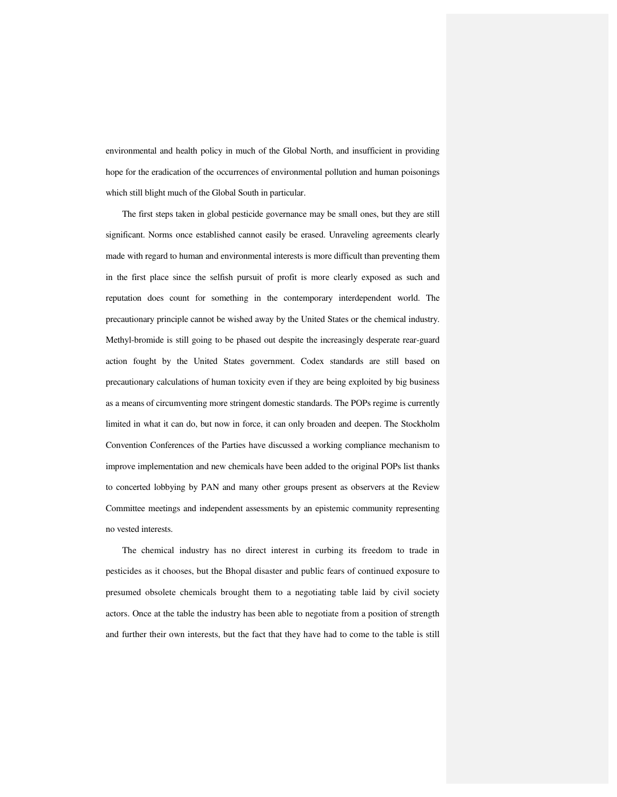environmental and health policy in much of the Global North, and insufficient in providing hope for the eradication of the occurrences of environmental pollution and human poisonings which still blight much of the Global South in particular.

The first steps taken in global pesticide governance may be small ones, but they are still significant. Norms once established cannot easily be erased. Unraveling agreements clearly made with regard to human and environmental interests is more difficult than preventing them in the first place since the selfish pursuit of profit is more clearly exposed as such and reputation does count for something in the contemporary interdependent world. The precautionary principle cannot be wished away by the United States or the chemical industry. Methyl-bromide is still going to be phased out despite the increasingly desperate rear-guard action fought by the United States government. Codex standards are still based on precautionary calculations of human toxicity even if they are being exploited by big business as a means of circumventing more stringent domestic standards. The POPs regime is currently limited in what it can do, but now in force, it can only broaden and deepen. The Stockholm Convention Conferences of the Parties have discussed a working compliance mechanism to improve implementation and new chemicals have been added to the original POPs list thanks to concerted lobbying by PAN and many other groups present as observers at the Review Committee meetings and independent assessments by an epistemic community representing no vested interests.

The chemical industry has no direct interest in curbing its freedom to trade in pesticides as it chooses, but the Bhopal disaster and public fears of continued exposure to presumed obsolete chemicals brought them to a negotiating table laid by civil society actors. Once at the table the industry has been able to negotiate from a position of strength and further their own interests, but the fact that they have had to come to the table is still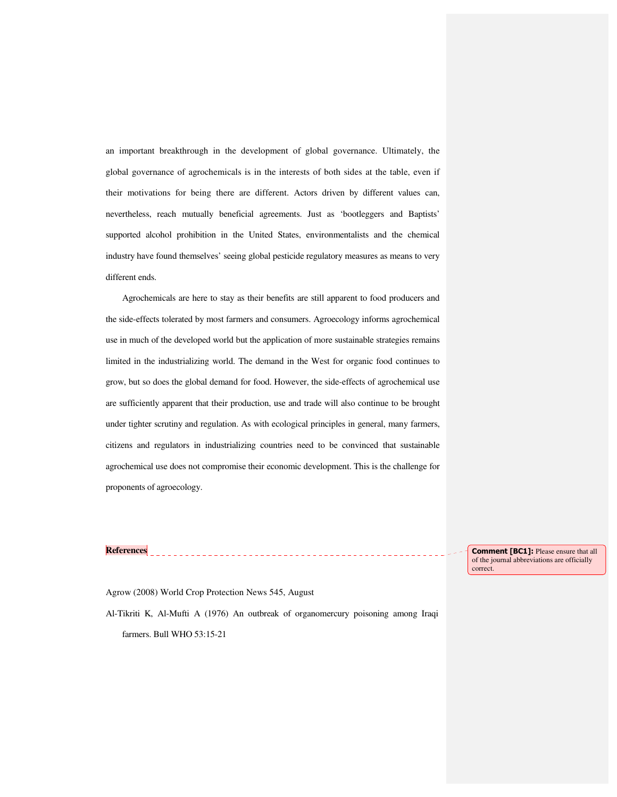an important breakthrough in the development of global governance. Ultimately, the global governance of agrochemicals is in the interests of both sides at the table, even if their motivations for being there are different. Actors driven by different values can, nevertheless, reach mutually beneficial agreements. Just as 'bootleggers and Baptists' supported alcohol prohibition in the United States, environmentalists and the chemical industry have found themselves' seeing global pesticide regulatory measures as means to very different ends.

Agrochemicals are here to stay as their benefits are still apparent to food producers and the side-effects tolerated by most farmers and consumers. Agroecology informs agrochemical use in much of the developed world but the application of more sustainable strategies remains limited in the industrializing world. The demand in the West for organic food continues to grow, but so does the global demand for food. However, the side-effects of agrochemical use are sufficiently apparent that their production, use and trade will also continue to be brought under tighter scrutiny and regulation. As with ecological principles in general, many farmers, citizens and regulators in industrializing countries need to be convinced that sustainable agrochemical use does not compromise their economic development. This is the challenge for proponents of agroecology.

# **References**

Agrow (2008) World Crop Protection News 545, August

Al-Tikriti K, Al-Mufti A (1976) An outbreak of organomercury poisoning among Iraqi farmers. Bull WHO 53:15-21

\_\_\_\_\_\_\_\_\_\_\_\_\_\_\_\_\_\_\_\_\_\_\_\_\_\_\_\_\_\_\_\_

**Comment [BC1]:** Please ensure that all of the journal abbreviations are officially correct.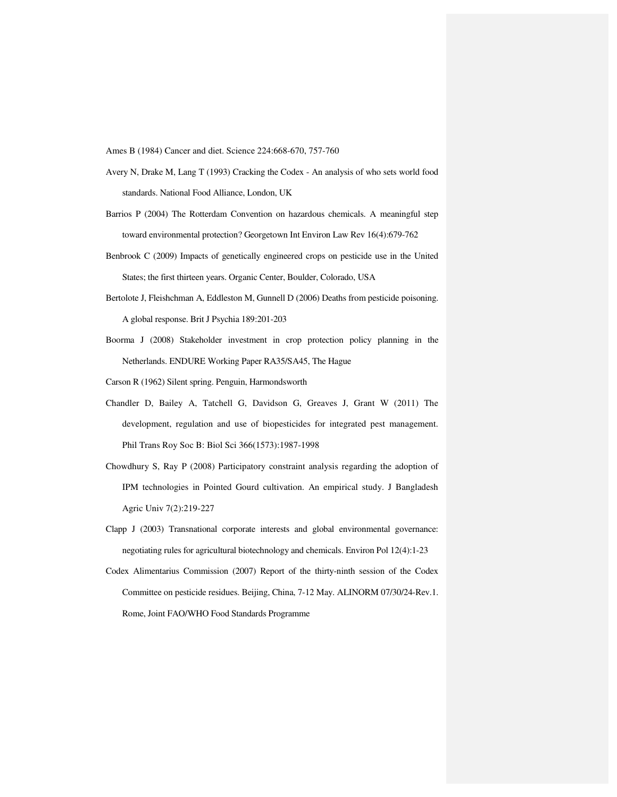Ames B (1984) Cancer and diet. Science 224:668-670, 757-760

- Avery N, Drake M, Lang T (1993) Cracking the Codex An analysis of who sets world food standards. National Food Alliance, London, UK
- Barrios P (2004) The Rotterdam Convention on hazardous chemicals. A meaningful step toward environmental protection? Georgetown Int Environ Law Rev 16(4):679-762
- Benbrook C (2009) Impacts of genetically engineered crops on pesticide use in the United States; the first thirteen years. Organic Center, Boulder, Colorado, USA
- Bertolote J, Fleishchman A, Eddleston M, Gunnell D (2006) Deaths from pesticide poisoning. A global response. Brit J Psychia 189:201-203
- Boorma J (2008) Stakeholder investment in crop protection policy planning in the Netherlands. ENDURE Working Paper RA35/SA45, The Hague
- Carson R (1962) Silent spring. Penguin, Harmondsworth
- Chandler D, Bailey A, Tatchell G, Davidson G, Greaves J, Grant W (2011) The development, regulation and use of biopesticides for integrated pest management. Phil Trans Roy Soc B: Biol Sci 366(1573):1987-1998
- Chowdhury S, Ray P (2008) Participatory constraint analysis regarding the adoption of IPM technologies in Pointed Gourd cultivation. An empirical study. J Bangladesh Agric Univ 7(2):219-227
- Clapp J (2003) Transnational corporate interests and global environmental governance: negotiating rules for agricultural biotechnology and chemicals. Environ Pol 12(4):1-23
- Codex Alimentarius Commission (2007) Report of the thirty-ninth session of the Codex Committee on pesticide residues. Beijing, China, 7-12 May. ALINORM 07/30/24-Rev.1. Rome, Joint FAO/WHO Food Standards Programme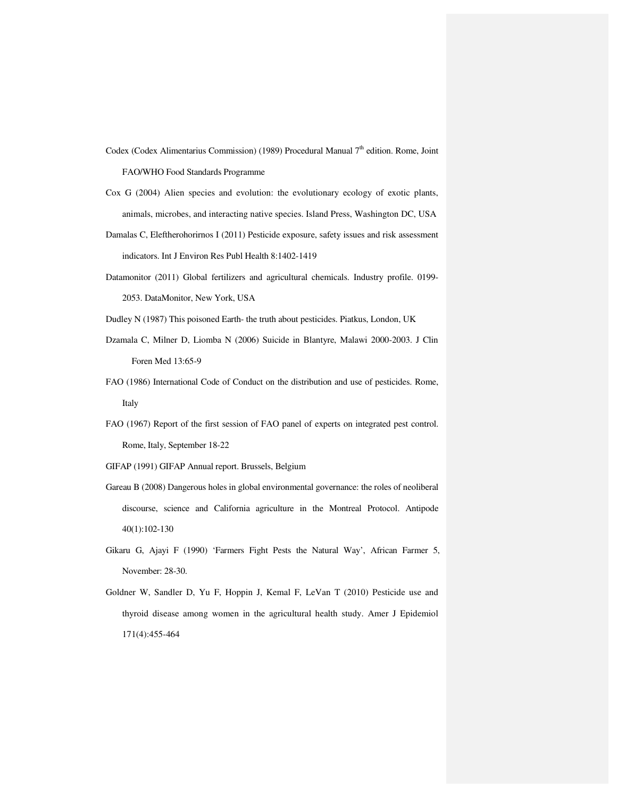- Codex (Codex Alimentarius Commission) (1989) Procedural Manual  $7<sup>th</sup>$  edition. Rome, Joint FAO/WHO Food Standards Programme
- Cox G (2004) Alien species and evolution: the evolutionary ecology of exotic plants, animals, microbes, and interacting native species. Island Press, Washington DC, USA
- Damalas C, Eleftherohorirnos I (2011) Pesticide exposure, safety issues and risk assessment indicators. Int J Environ Res Publ Health 8:1402-1419
- Datamonitor (2011) Global fertilizers and agricultural chemicals. Industry profile. 0199- 2053. DataMonitor, New York, USA

Dudley N (1987) This poisoned Earth- the truth about pesticides. Piatkus, London, UK

- Dzamala C, Milner D, Liomba N (2006) Suicide in Blantyre, Malawi 2000-2003. J Clin Foren Med 13:65-9
- FAO (1986) International Code of Conduct on the distribution and use of pesticides. Rome, Italy
- FAO (1967) Report of the first session of FAO panel of experts on integrated pest control. Rome, Italy, September 18-22

GIFAP (1991) GIFAP Annual report. Brussels, Belgium

- Gareau B (2008) Dangerous holes in global environmental governance: the roles of neoliberal discourse, science and California agriculture in the Montreal Protocol. Antipode 40(1):102-130
- Gikaru G, Ajayi F (1990) 'Farmers Fight Pests the Natural Way', African Farmer 5, November: 28-30.
- Goldner W, Sandler D, Yu F, Hoppin J, Kemal F, LeVan T (2010) Pesticide use and thyroid disease among women in the agricultural health study. Amer J Epidemiol 171(4):455-464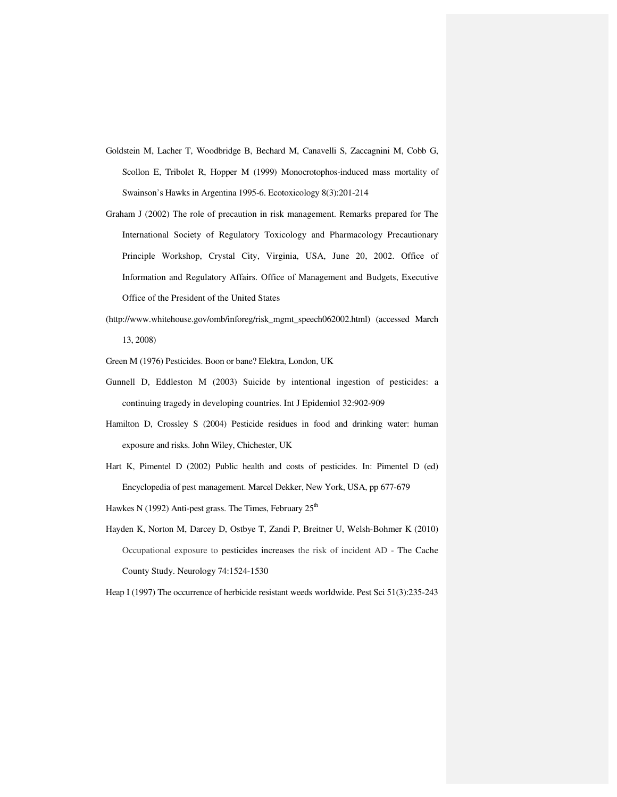- Goldstein M, Lacher T, Woodbridge B, Bechard M, Canavelli S, Zaccagnini M, Cobb G, Scollon E, Tribolet R, Hopper M (1999) Monocrotophos-induced mass mortality of Swainson's Hawks in Argentina 1995-6. Ecotoxicology 8(3):201-214
- Graham J (2002) The role of precaution in risk management. Remarks prepared for The International Society of Regulatory Toxicology and Pharmacology Precautionary Principle Workshop, Crystal City, Virginia, USA, June 20, 2002. Office of Information and Regulatory Affairs. Office of Management and Budgets, Executive Office of the President of the United States
- (http://www.whitehouse.gov/omb/inforeg/risk\_mgmt\_speech062002.html) (accessed March 13, 2008)

Green M (1976) Pesticides. Boon or bane? Elektra, London, UK

- Gunnell D, Eddleston M (2003) Suicide by intentional ingestion of pesticides: a continuing tragedy in developing countries. Int J Epidemiol 32:902-909
- Hamilton D, Crossley S (2004) Pesticide residues in food and drinking water: human exposure and risks. John Wiley, Chichester, UK
- Hart K, Pimentel D (2002) Public health and costs of pesticides. In: Pimentel D (ed) Encyclopedia of pest management. Marcel Dekker, New York, USA, pp 677-679
- Hawkes N (1992) Anti-pest grass. The Times, February  $25<sup>th</sup>$
- Hayden K, Norton M, Darcey D, Ostbye T, Zandi P, Breitner U, Welsh-Bohmer K (2010) Occupational exposure to pesticides increases the risk of incident AD - The Cache County Study. Neurology 74:1524-1530
- Heap I (1997) The occurrence of herbicide resistant weeds worldwide. Pest Sci 51(3):235-243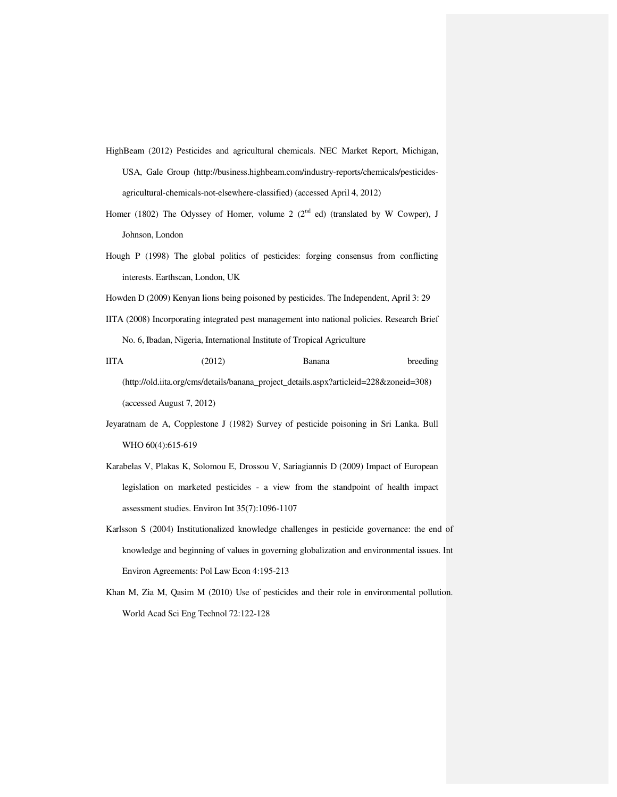- HighBeam (2012) Pesticides and agricultural chemicals. NEC Market Report, Michigan, USA, Gale Group (http://business.highbeam.com/industry-reports/chemicals/pesticidesagricultural-chemicals-not-elsewhere-classified) (accessed April 4, 2012)
- Homer (1802) The Odyssey of Homer, volume 2 ( $2<sup>nd</sup>$  ed) (translated by W Cowper), J Johnson, London
- Hough P (1998) The global politics of pesticides: forging consensus from conflicting interests. Earthscan, London, UK
- Howden D (2009) Kenyan lions being poisoned by pesticides. The Independent, April 3: 29
- IITA (2008) Incorporating integrated pest management into national policies. Research Brief No. 6, Ibadan, Nigeria, International Institute of Tropical Agriculture

IITA (2012) Banana breeding (http://old.iita.org/cms/details/banana\_project\_details.aspx?articleid=228&zoneid=308) (accessed August 7, 2012)

- Jeyaratnam de A, Copplestone J (1982) Survey of pesticide poisoning in Sri Lanka. Bull WHO 60(4):615-619
- Karabelas V, Plakas K, Solomou E, Drossou V, Sariagiannis D (2009) Impact of European legislation on marketed pesticides - a view from the standpoint of health impact assessment studies. Environ Int 35(7):1096-1107
- Karlsson S (2004) Institutionalized knowledge challenges in pesticide governance: the end of knowledge and beginning of values in governing globalization and environmental issues. Int Environ Agreements: Pol Law Econ 4:195-213
- Khan M, Zia M, Qasim M (2010) Use of pesticides and their role in environmental pollution. World Acad Sci Eng Technol 72:122-128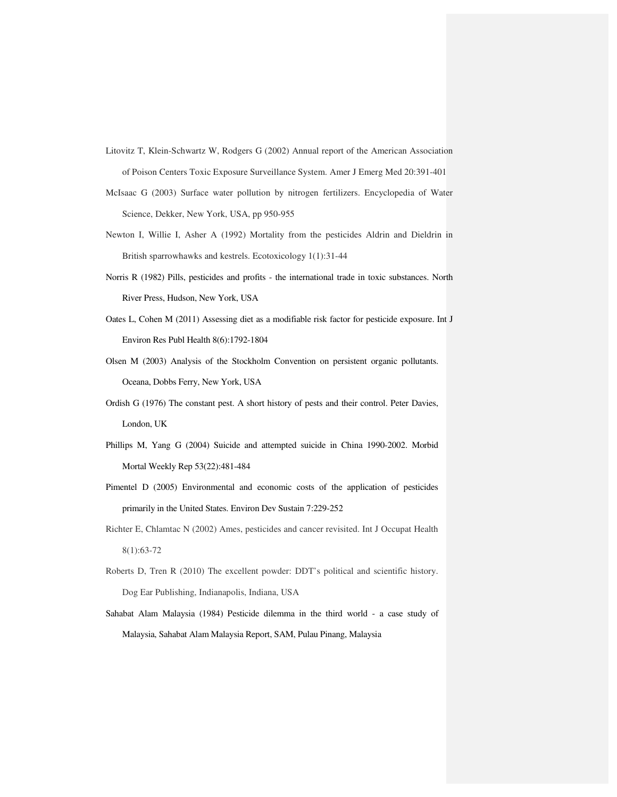- Litovitz T, Klein-Schwartz W, Rodgers G (2002) Annual report of the American Association of Poison Centers Toxic Exposure Surveillance System. Amer J Emerg Med 20:391-401
- McIsaac G (2003) Surface water pollution by nitrogen fertilizers. Encyclopedia of Water Science, Dekker, New York, USA, pp 950-955
- Newton I, Willie I, Asher A (1992) Mortality from the pesticides Aldrin and Dieldrin in British sparrowhawks and kestrels. Ecotoxicology 1(1):31-44
- Norris R (1982) Pills, pesticides and profits the international trade in toxic substances. North River Press, Hudson, New York, USA
- Oates L, Cohen M (2011) Assessing diet as a modifiable risk factor for pesticide exposure. Int J Environ Res Publ Health 8(6):1792-1804
- Olsen M (2003) Analysis of the Stockholm Convention on persistent organic pollutants. Oceana, Dobbs Ferry, New York, USA
- Ordish G (1976) The constant pest. A short history of pests and their control. Peter Davies, London, UK
- Phillips M, Yang G (2004) Suicide and attempted suicide in China 1990-2002. Morbid Mortal Weekly Rep 53(22):481-484
- Pimentel D (2005) Environmental and economic costs of the application of pesticides primarily in the United States. Environ Dev Sustain 7:229-252
- Richter E, Chlamtac N (2002) Ames, pesticides and cancer revisited. Int J Occupat Health 8(1):63-72
- Roberts D, Tren R (2010) The excellent powder: DDT's political and scientific history. Dog Ear Publishing, Indianapolis, Indiana, USA
- Sahabat Alam Malaysia (1984) Pesticide dilemma in the third world a case study of Malaysia, Sahabat Alam Malaysia Report, SAM, Pulau Pinang, Malaysia